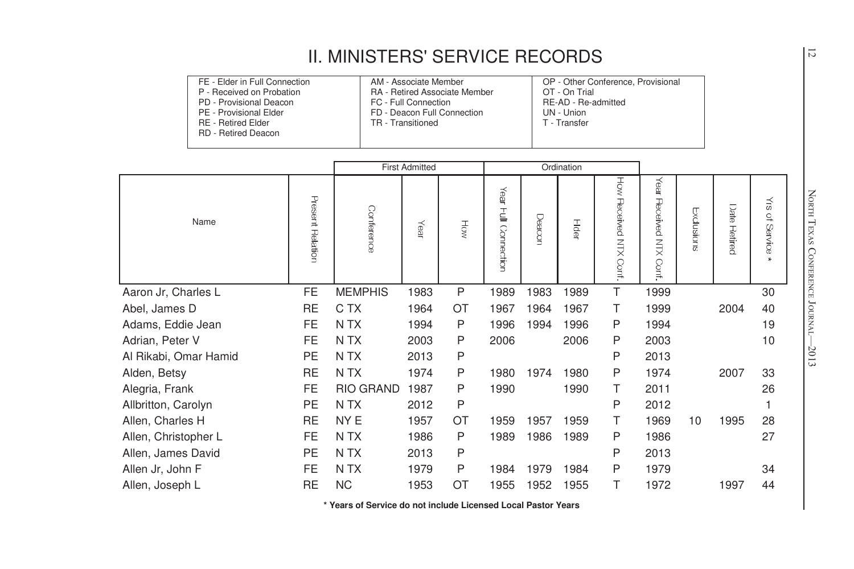- 
- 
- 
- 
- 

|                                                                                                                                                                     |                  | <b>II. MINISTERS' SERVICE RECORDS</b> |                                                                    |                                                              |                      |        |                                                                    |                                    |                               |            |              |                  | $\overline{c}$                  |
|---------------------------------------------------------------------------------------------------------------------------------------------------------------------|------------------|---------------------------------------|--------------------------------------------------------------------|--------------------------------------------------------------|----------------------|--------|--------------------------------------------------------------------|------------------------------------|-------------------------------|------------|--------------|------------------|---------------------------------|
| FE - Elder in Full Connection<br>P - Received on Probation<br>PD - Provisional Deacon<br>PE - Provisional Elder<br><b>RE</b> - Retired Elder<br>RD - Retired Deacon |                  |                                       | AM - Associate Member<br>FC - Full Connection<br>TR - Transitioned | RA - Retired Associate Member<br>FD - Deacon Full Connection |                      |        | OT - On Trial<br>RE-AD - Re-admitted<br>UN - Union<br>T - Transfer | OP - Other Conference, Provisional |                               |            |              |                  |                                 |
|                                                                                                                                                                     |                  |                                       | <b>First Admitted</b>                                              |                                                              |                      |        | Ordination                                                         |                                    |                               |            |              |                  |                                 |
| Name                                                                                                                                                                | Present Relation | Conference                            | Year                                                               | HÓ                                                           | Year Full Connection | Deacon | Eldel                                                              | How Received NTX Conf.             | Year<br>Received NTX<br>Conf. | Exclusions | Date Retired | ЗĶ<br>of Service | NORTH TEXAS CONFERENCE JOURNAL- |
| Aaron Jr, Charles L                                                                                                                                                 | FE               | <b>MEMPHIS</b>                        | 1983                                                               | $\mathsf{P}$                                                 | 1989                 | 1983   | 1989                                                               | T                                  | 1999                          |            |              | 30               |                                 |
| Abel, James D                                                                                                                                                       | <b>RE</b>        | C TX                                  | 1964                                                               | OT                                                           | 1967                 | 1964   | 1967                                                               | т                                  | 1999                          |            | 2004         | 40               |                                 |
| Adams, Eddie Jean                                                                                                                                                   | FE               | N TX                                  | 1994                                                               | P                                                            | 1996                 | 1994   | 1996                                                               | P                                  | 1994                          |            |              | 19               |                                 |
| Adrian, Peter V                                                                                                                                                     | FE               | N TX                                  | 2003                                                               | Ρ                                                            | 2006                 |        | 2006                                                               | P                                  | 2003                          |            |              | 10               |                                 |
| Al Rikabi, Omar Hamid                                                                                                                                               | PE               | N TX                                  | 2013                                                               | P                                                            |                      |        |                                                                    | P                                  | 2013                          |            |              |                  | $-2013$                         |
| Alden, Betsy                                                                                                                                                        | <b>RE</b>        | N TX                                  | 1974                                                               | P                                                            | 1980                 | 1974   | 1980                                                               | P                                  | 1974                          |            | 2007         | 33               |                                 |
| Alegria, Frank                                                                                                                                                      | <b>FE</b>        | <b>RIO GRAND</b>                      | 1987                                                               | P                                                            | 1990                 |        | 1990                                                               | Т                                  | 2011                          |            |              | 26               |                                 |
| Allbritton, Carolyn                                                                                                                                                 | PE               | N TX                                  | 2012                                                               | P                                                            |                      |        |                                                                    | P                                  | 2012                          |            |              | 1                |                                 |
| Allen, Charles H                                                                                                                                                    | <b>RE</b>        | NY <sub>E</sub>                       | 1957                                                               | OT                                                           | 1959                 | 1957   | 1959                                                               | т                                  | 1969                          | 10         | 1995         | 28               |                                 |
| Allen, Christopher L                                                                                                                                                | FE               | N TX                                  | 1986                                                               | P                                                            | 1989                 | 1986   | 1989                                                               | P                                  | 1986                          |            |              | 27               |                                 |
| Allen, James David                                                                                                                                                  | <b>PE</b>        | N TX                                  | 2013                                                               | P                                                            |                      |        |                                                                    | P                                  | 2013                          |            |              |                  |                                 |
| Allen Jr, John F                                                                                                                                                    | FE               | N TX                                  | 1979                                                               | P                                                            | 1984                 | 1979   | 1984                                                               | P                                  | 1979                          |            |              | 34               |                                 |
| Allen, Joseph L                                                                                                                                                     | <b>RE</b>        | <b>NC</b>                             | 1953                                                               | ОT                                                           | 1955                 | 1952   | 1955                                                               | т                                  | 1972                          |            | 1997         | 44               |                                 |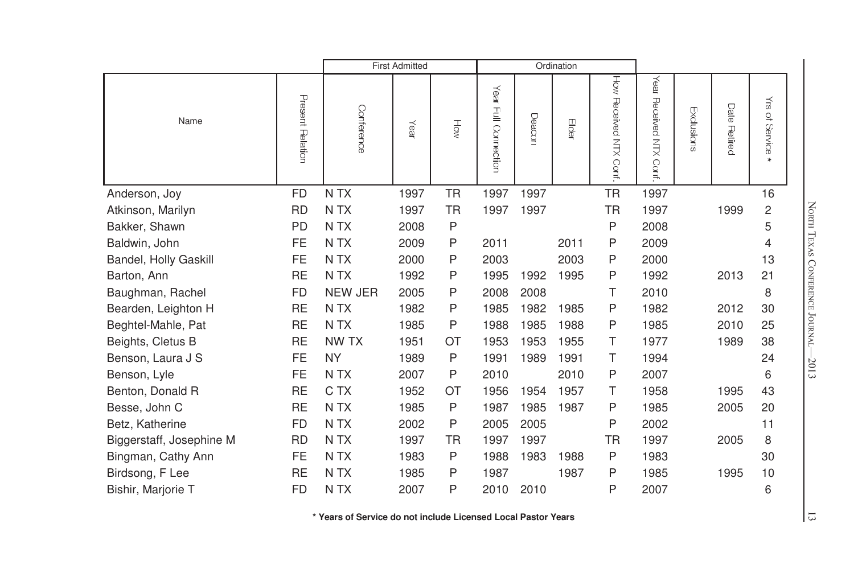|                          |                  |                  | <b>First Admitted</b> |           |                      |        | Ordination |                        |                               |            |              |                            |
|--------------------------|------------------|------------------|-----------------------|-----------|----------------------|--------|------------|------------------------|-------------------------------|------------|--------------|----------------------------|
| Name                     | Present Relation | Conference       | Year                  | HÓW       | Year Full Connection | Deacon | Elder      | How Received NTX Conf. | Year<br>Received NTX<br>Conf. | Exclusions | Date Retired | λÎ<br>of Service<br>$\ast$ |
| Anderson, Joy            | <b>FD</b>        | N TX             | 1997                  | <b>TR</b> | 1997                 | 1997   |            | <b>TR</b>              | 1997                          |            |              | 16                         |
| Atkinson, Marilyn        | <b>RD</b>        | N TX             | 1997                  | <b>TR</b> | 1997                 | 1997   |            | <b>TR</b>              | 1997                          |            | 1999         | $\mathsf{2}\,$             |
| Bakker, Shawn            | <b>PD</b>        | N TX             | 2008                  | P         |                      |        |            | P                      | 2008                          |            |              | 5                          |
| Baldwin, John            | <b>FE</b>        | N TX             | 2009                  | P         | 2011                 |        | 2011       | P                      | 2009                          |            |              | 4                          |
| Bandel, Holly Gaskill    | <b>FE</b>        | N TX             | 2000                  | P         | 2003                 |        | 2003       | P                      | 2000                          |            |              | 13                         |
| Barton, Ann              | <b>RE</b>        | N <sub>T</sub> X | 1992                  | P         | 1995                 | 1992   | 1995       | P                      | 1992                          |            | 2013         | 21                         |
| Baughman, Rachel         | <b>FD</b>        | <b>NEW JER</b>   | 2005                  | P         | 2008                 | 2008   |            | Τ                      | 2010                          |            |              | 8                          |
| Bearden, Leighton H      | <b>RE</b>        | N <sub>T</sub> X | 1982                  | P         | 1985                 | 1982   | 1985       | P                      | 1982                          |            | 2012         | 30                         |
| Beghtel-Mahle, Pat       | <b>RE</b>        | N <sub>T</sub> X | 1985                  | P         | 1988                 | 1985   | 1988       | P                      | 1985                          |            | 2010         | 25                         |
| Beights, Cletus B        | <b>RE</b>        | NW TX            | 1951                  | OT        | 1953                 | 1953   | 1955       | т                      | 1977                          |            | 1989         | 38                         |
| Benson, Laura J S        | <b>FE</b>        | <b>NY</b>        | 1989                  | P         | 1991                 | 1989   | 1991       | Τ                      | 1994                          |            |              | 24                         |
| Benson, Lyle             | <b>FE</b>        | N TX             | 2007                  | P         | 2010                 |        | 2010       | P                      | 2007                          |            |              | 6                          |
| Benton, Donald R         | <b>RE</b>        | C TX             | 1952                  | OT        | 1956                 | 1954   | 1957       | т                      | 1958                          |            | 1995         | 43                         |
| Besse, John C            | <b>RE</b>        | N TX             | 1985                  | P         | 1987                 | 1985   | 1987       | P                      | 1985                          |            | 2005         | 20                         |
| Betz, Katherine          | <b>FD</b>        | N TX             | 2002                  | P         | 2005                 | 2005   |            | P                      | 2002                          |            |              | 11                         |
| Biggerstaff, Josephine M | <b>RD</b>        | N TX             | 1997                  | TR        | 1997                 | 1997   |            | TR                     | 1997                          |            | 2005         | 8                          |
| Bingman, Cathy Ann       | <b>FE</b>        | N <sub>T</sub> X | 1983                  | P         | 1988                 | 1983   | 1988       | P                      | 1983                          |            |              | 30                         |
| Birdsong, F Lee          | <b>RE</b>        | N TX             | 1985                  | P         | 1987                 |        | 1987       | P                      | 1985                          |            | 1995         | 10                         |
| Bishir, Marjorie T       | <b>FD</b>        | N TX             | 2007                  | P         | 2010                 | 2010   |            | Ρ                      | 2007                          |            |              | 6                          |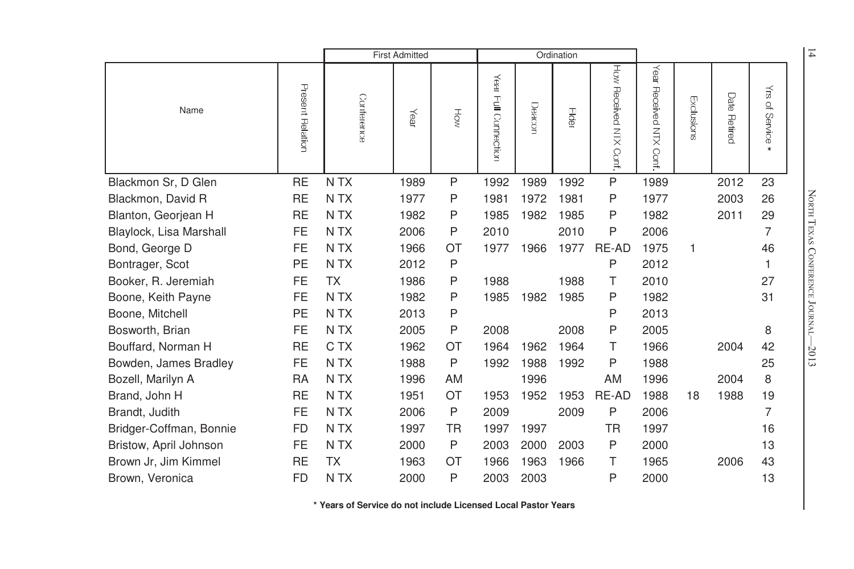|                         |                  | <b>First Admitted</b> |      |           |                                   |        | Ordination |                           |                               |              |                        |                 | $\overline{1}$                  |
|-------------------------|------------------|-----------------------|------|-----------|-----------------------------------|--------|------------|---------------------------|-------------------------------|--------------|------------------------|-----------------|---------------------------------|
| Name                    | Present Relation | Conference            | Year | HŎ        | Year<br>$\subseteq$<br>Connection | Deacor | Elder      | How Received NTX<br>Conf. | Year<br>Received NTX<br>Conf. | Exclusions   | Date<br><b>Retired</b> | ₹<br>of Service |                                 |
| Blackmon Sr, D Glen     | <b>RE</b>        | N TX                  | 1989 | P         | 1992                              | 1989   | 1992       | $\mathsf{P}$              | 1989                          |              | 2012                   | 23              |                                 |
| Blackmon, David R       | <b>RE</b>        | N TX                  | 1977 | P         | 1981                              | 1972   | 1981       | P                         | 1977                          |              | 2003                   | 26              |                                 |
| Blanton, Georjean H     | <b>RE</b>        | N TX                  | 1982 | P         | 1985                              | 1982   | 1985       | P                         | 1982                          |              | 2011                   | 29              | NORTH TEXAS CONFERENCE JOURNAL- |
| Blaylock, Lisa Marshall | <b>FE</b>        | N TX                  | 2006 | P         | 2010                              |        | 2010       | P                         | 2006                          |              |                        | 7               |                                 |
| Bond, George D          | <b>FE</b>        | N TX                  | 1966 | OT        | 1977                              | 1966   | 1977       | RE-AD                     | 1975                          | $\mathbf{1}$ |                        | 46              |                                 |
| Bontrager, Scot         | PE               | N TX                  | 2012 | P         |                                   |        |            | P                         | 2012                          |              |                        | 1               |                                 |
| Booker, R. Jeremiah     | FE               | <b>TX</b>             | 1986 | P         | 1988                              |        | 1988       | т                         | 2010                          |              |                        | 27              |                                 |
| Boone, Keith Payne      | <b>FE</b>        | N TX                  | 1982 | P         | 1985                              | 1982   | 1985       | P                         | 1982                          |              |                        | 31              |                                 |
| Boone, Mitchell         | <b>PE</b>        | N TX                  | 2013 | P         |                                   |        |            | P                         | 2013                          |              |                        |                 |                                 |
| Bosworth, Brian         | <b>FE</b>        | N TX                  | 2005 | P         | 2008                              |        | 2008       | P                         | 2005                          |              |                        | 8               |                                 |
| Bouffard, Norman H      | <b>RE</b>        | C TX                  | 1962 | OT        | 1964                              | 1962   | 1964       | Τ                         | 1966                          |              | 2004                   | 42              | $-2013$                         |
| Bowden, James Bradley   | FE               | N TX                  | 1988 | P         | 1992                              | 1988   | 1992       | P                         | 1988                          |              |                        | 25              |                                 |
| Bozell, Marilyn A       | RA               | N TX                  | 1996 | AM        |                                   | 1996   |            | AM                        | 1996                          |              | 2004                   | 8               |                                 |
| Brand, John H           | RE               | N TX                  | 1951 | OT        | 1953                              | 1952   | 1953       | RE-AD                     | 1988                          | 18           | 1988                   | 19              |                                 |
| Brandt, Judith          | <b>FE</b>        | N TX                  | 2006 | P         | 2009                              |        | 2009       | P                         | 2006                          |              |                        | 7               |                                 |
| Bridger-Coffman, Bonnie | <b>FD</b>        | N TX                  | 1997 | <b>TR</b> | 1997                              | 1997   |            | <b>TR</b>                 | 1997                          |              |                        | 16              |                                 |
| Bristow, April Johnson  | FE               | N TX                  | 2000 | P         | 2003                              | 2000   | 2003       | P                         | 2000                          |              |                        | 13              |                                 |
| Brown Jr, Jim Kimmel    | RE               | <b>TX</b>             | 1963 | OT        | 1966                              | 1963   | 1966       | т                         | 1965                          |              | 2006                   | 43              |                                 |
| Brown, Veronica         | FD               | N TX                  | 2000 | P         | 2003                              | 2003   |            | P                         | 2000                          |              |                        | 13              |                                 |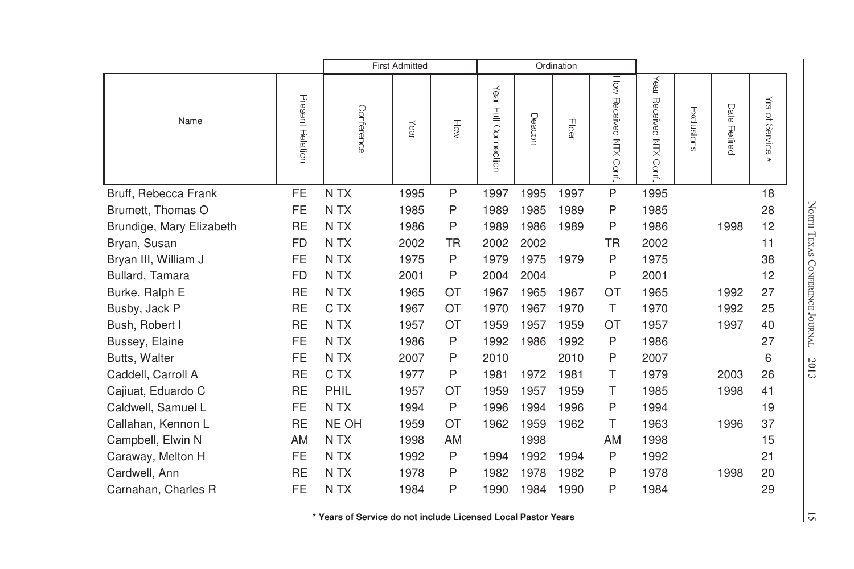|                          |                  | <b>First Admitted</b> |      |           |                         |        | Ordination |                        |                               |            |                 |                                                                        |
|--------------------------|------------------|-----------------------|------|-----------|-------------------------|--------|------------|------------------------|-------------------------------|------------|-----------------|------------------------------------------------------------------------|
| Name                     | Present Relation | Conference            | Year | HÓN       | Year<br>Full Connection | Deacor | Elde       | How Received NTX Conf. | Year<br>Received NTX<br>Conf. | Exclusions | Date<br>Retired | $\stackrel{\textstyle <}{\scriptstyle \infty}$<br>of Service<br>$\ast$ |
| Bruff, Rebecca Frank     | <b>FE</b>        | N TX                  | 1995 | P         | 1997                    | 1995   | 1997       | P                      | 1995                          |            |                 | 18                                                                     |
| Brumett, Thomas O        | <b>FE</b>        | N TX                  | 1985 | P         | 1989                    | 1985   | 1989       | P                      | 1985                          |            |                 | 28                                                                     |
| Brundige, Mary Elizabeth | <b>RE</b>        | N <sub>T</sub> X      | 1986 | P         | 1989                    | 1986   | 1989       | P                      | 1986                          |            | 1998            | 12                                                                     |
| Bryan, Susan             | <b>FD</b>        | N <sub>T</sub> X      | 2002 | TR        | 2002                    | 2002   |            | TR.                    | 2002                          |            |                 | 11                                                                     |
| Bryan III, William J     | <b>FE</b>        | N TX                  | 1975 | P         | 1979                    | 1975   | 1979       | P                      | 1975                          |            |                 | 38                                                                     |
| Bullard, Tamara          | <b>FD</b>        | N <sub>T</sub> X      | 2001 | P         | 2004                    | 2004   |            | P                      | 2001                          |            |                 | 12                                                                     |
| Burke, Ralph E           | <b>RE</b>        | N TX                  | 1965 | OT        | 1967                    | 1965   | 1967       | <b>OT</b>              | 1965                          |            | 1992            | 27                                                                     |
| Busby, Jack P            | <b>RE</b>        | C TX                  | 1967 | OT        | 1970                    | 1967   | 1970       | T                      | 1970                          |            | 1992            | 25                                                                     |
| Bush, Robert I           | <b>RE</b>        | N <sub>T</sub> X      | 1957 | OT        | 1959                    | 1957   | 1959       | <b>OT</b>              | 1957                          |            | 1997            | 40                                                                     |
| Bussey, Elaine           | <b>FE</b>        | N TX                  | 1986 | P         | 1992                    | 1986   | 1992       | P                      | 1986                          |            |                 | 27                                                                     |
| Butts, Walter            | <b>FE</b>        | N TX                  | 2007 | P         | 2010                    |        | 2010       | P                      | 2007                          |            |                 | 6                                                                      |
| Caddell, Carroll A       | <b>RE</b>        | C TX                  | 1977 | P         | 1981                    | 1972   | 1981       | т                      | 1979                          |            | 2003            | 26                                                                     |
| Cajiuat, Eduardo C       | <b>RE</b>        | PHIL                  | 1957 | OT        | 1959                    | 1957   | 1959       | т                      | 1985                          |            | 1998            | 41                                                                     |
| Caldwell, Samuel L       | <b>FE</b>        | N TX                  | 1994 | P         | 1996                    | 1994   | 1996       | P                      | 1994                          |            |                 | 19                                                                     |
| Callahan, Kennon L       | <b>RE</b>        | NE OH                 | 1959 | OT        | 1962                    | 1959   | 1962       | т                      | 1963                          |            | 1996            | 37                                                                     |
| Campbell, Elwin N        | AM               | N TX                  | 1998 | <b>AM</b> |                         | 1998   |            | <b>AM</b>              | 1998                          |            |                 | 15                                                                     |
| Caraway, Melton H        | FE               | N TX                  | 1992 | P         | 1994                    | 1992   | 1994       | P                      | 1992                          |            |                 | 21                                                                     |
| Cardwell, Ann            | <b>RE</b>        | N <sub>T</sub> X      | 1978 | P         | 1982                    | 1978   | 1982       | P                      | 1978                          |            | 1998            | 20                                                                     |
| Carnahan, Charles R      | <b>FE</b>        | N TX                  | 1984 | P         | 1990                    | 1984   | 1990       | Ρ                      | 1984                          |            |                 | 29                                                                     |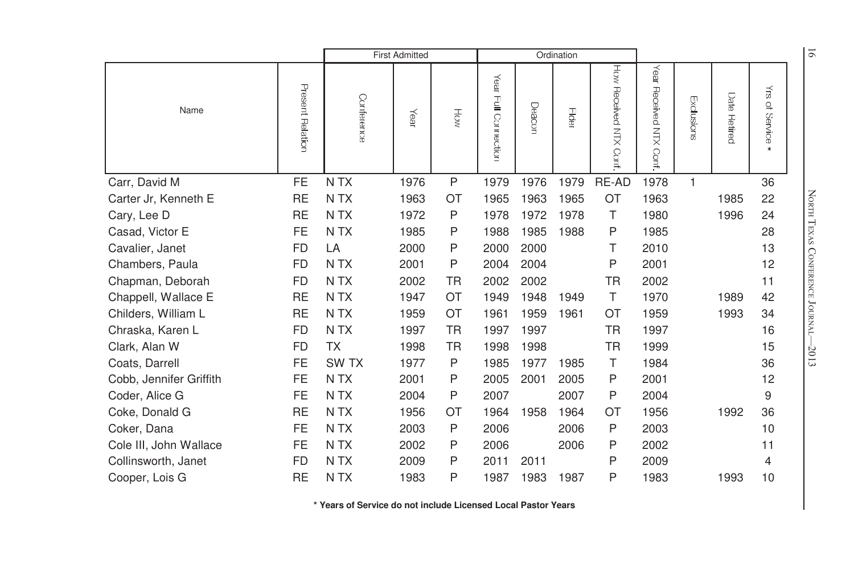|                         |                  |                  | <b>First Admitted</b> |           |                                   |        | Ordination |                           |                               |              |                 |                 | $\overline{9}$                  |
|-------------------------|------------------|------------------|-----------------------|-----------|-----------------------------------|--------|------------|---------------------------|-------------------------------|--------------|-----------------|-----------------|---------------------------------|
| Name                    | Present Relation | Conference       | Year                  | HÓW       | Year<br>$\subseteq$<br>Connection | Deacor | Elder      | How Received NTX<br>Conf. | Year<br>Received NTX<br>Conf. | Exclusions   | Date<br>Retired | ₹<br>of Service |                                 |
| Carr, David M           | <b>FE</b>        | N TX             | 1976                  | P         | 1979                              | 1976   | 1979       | RE-AD                     | 1978                          | $\mathbf{1}$ |                 | 36              |                                 |
| Carter Jr, Kenneth E    | <b>RE</b>        | N TX             | 1963                  | ОT        | 1965                              | 1963   | 1965       | OT                        | 1963                          |              | 1985            | 22              |                                 |
| Cary, Lee D             | <b>RE</b>        | N TX             | 1972                  | P         | 1978                              | 1972   | 1978       | Τ                         | 1980                          |              | 1996            | 24              |                                 |
| Casad, Victor E         | <b>FE</b>        | N TX             | 1985                  | P         | 1988                              | 1985   | 1988       | P                         | 1985                          |              |                 | 28              |                                 |
| Cavalier, Janet         | <b>FD</b>        | LA               | 2000                  | P         | 2000                              | 2000   |            | Τ                         | 2010                          |              |                 | 13              | NORTH TEXAS CONFERENCE JOURNAL- |
| Chambers, Paula         | <b>FD</b>        | N TX             | 2001                  | P         | 2004                              | 2004   |            | P                         | 2001                          |              |                 | 12              |                                 |
| Chapman, Deborah        | <b>FD</b>        | N TX             | 2002                  | TR        | 2002                              | 2002   |            | <b>TR</b>                 | 2002                          |              |                 | 11              |                                 |
| Chappell, Wallace E     | <b>RE</b>        | N TX             | 1947                  | OT        | 1949                              | 1948   | 1949       | Τ                         | 1970                          |              | 1989            | 42              |                                 |
| Childers, William L     | <b>RE</b>        | N TX             | 1959                  | ОT        | 1961                              | 1959   | 1961       | <b>OT</b>                 | 1959                          |              | 1993            | 34              |                                 |
| Chraska, Karen L        | <b>FD</b>        | N TX             | 1997                  | <b>TR</b> | 1997                              | 1997   |            | <b>TR</b>                 | 1997                          |              |                 | 16              |                                 |
| Clark, Alan W           | <b>FD</b>        | ТX               | 1998                  | TR        | 1998                              | 1998   |            | <b>TR</b>                 | 1999                          |              |                 | 15              | $-2013$                         |
| Coats, Darrell          | FE               | SW <sub>TX</sub> | 1977                  | P         | 1985                              | 1977   | 1985       | Τ                         | 1984                          |              |                 | 36              |                                 |
| Cobb, Jennifer Griffith | <b>FE</b>        | N TX             | 2001                  | P         | 2005                              | 2001   | 2005       | P                         | 2001                          |              |                 | 12              |                                 |
| Coder, Alice G          | <b>FE</b>        | N TX             | 2004                  | P         | 2007                              |        | 2007       | P                         | 2004                          |              |                 | 9               |                                 |
| Coke, Donald G          | <b>RE</b>        | N TX             | 1956                  | ОT        | 1964                              | 1958   | 1964       | OT                        | 1956                          |              | 1992            | 36              |                                 |
| Coker, Dana             | <b>FE</b>        | N TX             | 2003                  | P         | 2006                              |        | 2006       | P                         | 2003                          |              |                 | 10              |                                 |
| Cole III, John Wallace  | FE               | N TX             | 2002                  | P         | 2006                              |        | 2006       | P                         | 2002                          |              |                 | 11              |                                 |
| Collinsworth, Janet     | <b>FD</b>        | N TX             | 2009                  | Ρ         | 2011                              | 2011   |            | P                         | 2009                          |              |                 | 4               |                                 |
| Cooper, Lois G          | <b>RE</b>        | N TX             | 1983                  | Ρ         | 1987                              | 1983   | 1987       | P                         | 1983                          |              | 1993            | 10              |                                 |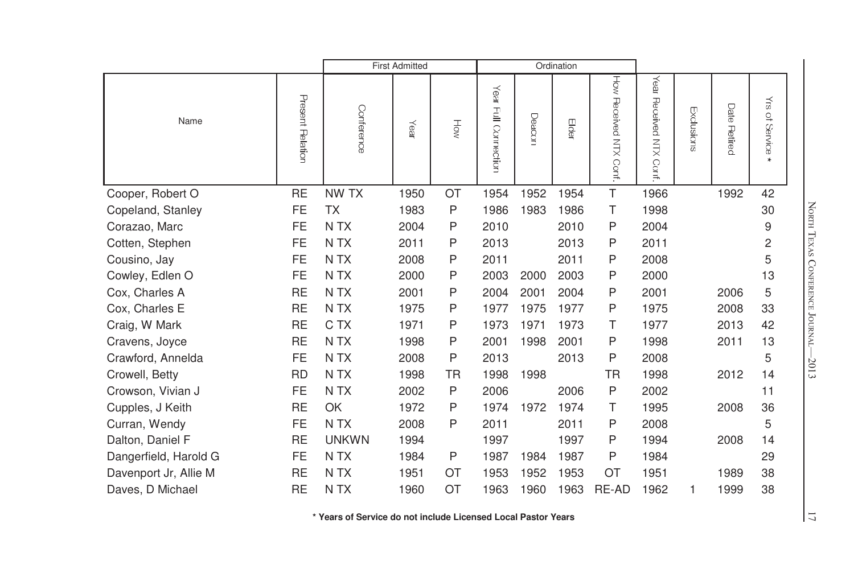|                       |                  |                  | <b>First Admitted</b> |           |                            |        | Ordination |                        |                               |            |                 |                                       |
|-----------------------|------------------|------------------|-----------------------|-----------|----------------------------|--------|------------|------------------------|-------------------------------|------------|-----------------|---------------------------------------|
| Name                  | Present Relation | Conference       | Year                  | HÓ        | $Y$ ear<br>Full Connection | Deacon | Eldel      | How Received NTX Conf. | Year<br>Received NTX<br>Conf. | Exclusions | Date<br>Retired | $\frac{1}{2}$<br>of Service<br>$\ast$ |
| Cooper, Robert O      | <b>RE</b>        | NW TX            | 1950                  | OT        | 1954                       | 1952   | 1954       | T                      | 1966                          |            | 1992            | 42                                    |
| Copeland, Stanley     | FE               | <b>TX</b>        | 1983                  | P         | 1986                       | 1983   | 1986       | Τ                      | 1998                          |            |                 | 30                                    |
| Corazao, Marc         | <b>FE</b>        | N TX             | 2004                  | P         | 2010                       |        | 2010       | P                      | 2004                          |            |                 | 9                                     |
| Cotten, Stephen       | <b>FE</b>        | N TX             | 2011                  | P         | 2013                       |        | 2013       | P                      | 2011                          |            |                 | $\overline{c}$                        |
| Cousino, Jay          | <b>FE</b>        | N TX             | 2008                  | P         | 2011                       |        | 2011       | P                      | 2008                          |            |                 | 5                                     |
| Cowley, Edlen O       | FE               | N <sub>T</sub> X | 2000                  | P         | 2003                       | 2000   | 2003       | P                      | 2000                          |            |                 | 13                                    |
| Cox, Charles A        | <b>RE</b>        | N TX             | 2001                  | P         | 2004                       | 2001   | 2004       | P                      | 2001                          |            | 2006            | 5                                     |
| Cox, Charles E        | <b>RE</b>        | N TX             | 1975                  | P         | 1977                       | 1975   | 1977       | P                      | 1975                          |            | 2008            | 33                                    |
| Craig, W Mark         | <b>RE</b>        | C TX             | 1971                  | P         | 1973                       | 1971   | 1973       | т                      | 1977                          |            | 2013            | 42                                    |
| Cravens, Joyce        | <b>RE</b>        | N TX             | 1998                  | P         | 2001                       | 1998   | 2001       | P                      | 1998                          |            | 2011            | 13                                    |
| Crawford, Annelda     | <b>FE</b>        | N TX             | 2008                  | P         | 2013                       |        | 2013       | P                      | 2008                          |            |                 | 5                                     |
| Crowell, Betty        | <b>RD</b>        | N TX             | 1998                  | <b>TR</b> | 1998                       | 1998   |            | <b>TR</b>              | 1998                          |            | 2012            | 14                                    |
| Crowson, Vivian J     | FE               | N TX             | 2002                  | P         | 2006                       |        | 2006       | P                      | 2002                          |            |                 | 11                                    |
| Cupples, J Keith      | <b>RE</b>        | OK               | 1972                  | P         | 1974                       | 1972   | 1974       | т                      | 1995                          |            | 2008            | 36                                    |
| Curran, Wendy         | <b>FE</b>        | N TX             | 2008                  | P         | 2011                       |        | 2011       | P                      | 2008                          |            |                 | 5                                     |
| Dalton, Daniel F      | <b>RE</b>        | <b>UNKWN</b>     | 1994                  |           | 1997                       |        | 1997       | P                      | 1994                          |            | 2008            | 14                                    |
| Dangerfield, Harold G | FE               | N TX             | 1984                  | P         | 1987                       | 1984   | 1987       | P                      | 1984                          |            |                 | 29                                    |
| Davenport Jr, Allie M | <b>RE</b>        | N TX             | 1951                  | OT        | 1953                       | 1952   | 1953       | OT                     | 1951                          |            | 1989            | 38                                    |
| Daves, D Michael      | <b>RE</b>        | N <sub>T</sub> X | 1960                  | OT        | 1963                       | 1960   | 1963       | RE-AD                  | 1962                          |            | 1999            | 38                                    |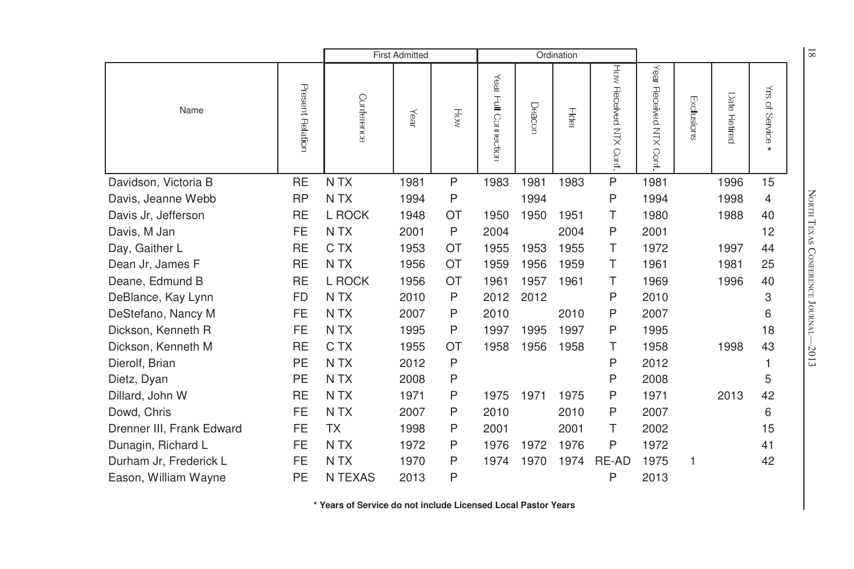|                           |                  | <b>First Admitted</b> |      |    |                                   | Ordination |       |                           |                               |            |                 | $\overline{8}$  |                                 |
|---------------------------|------------------|-----------------------|------|----|-----------------------------------|------------|-------|---------------------------|-------------------------------|------------|-----------------|-----------------|---------------------------------|
| Name                      | Present Relation | Conference            | Year | HÓ | Year<br>$\subseteq$<br>Connection | Deacor     | Elder | How Received NTX<br>Conf. | Year<br>Received NTX<br>Conf. | Exclusions | Date<br>Retired | ₹<br>of Service |                                 |
| Davidson, Victoria B      | <b>RE</b>        | N TX                  | 1981 | P  | 1983                              | 1981       | 1983  | P                         | 1981                          |            | 1996            | 15              |                                 |
| Davis, Jeanne Webb        | <b>RP</b>        | N <sub>T</sub> X      | 1994 | Ρ  |                                   | 1994       |       | P                         | 1994                          |            | 1998            | 4               |                                 |
| Davis Jr, Jefferson       | <b>RE</b>        | L ROCK                | 1948 | ОT | 1950                              | 1950       | 1951  | т                         | 1980                          |            | 1988            | 40              | NORTH TEXAS CONFERENCE JOURNAL- |
| Davis, M Jan              | <b>FE</b>        | N TX                  | 2001 | P  | 2004                              |            | 2004  | P                         | 2001                          |            |                 | 12              |                                 |
| Day, Gaither L            | <b>RE</b>        | C TX                  | 1953 | ОT | 1955                              | 1953       | 1955  | т                         | 1972                          |            | 1997            | 44              |                                 |
| Dean Jr, James F          | <b>RE</b>        | N TX                  | 1956 | OT | 1959                              | 1956       | 1959  | т                         | 1961                          |            | 1981            | 25              |                                 |
| Deane, Edmund B           | <b>RE</b>        | L ROCK                | 1956 | ОT | 1961                              | 1957       | 1961  | т                         | 1969                          |            | 1996            | 40              |                                 |
| DeBlance, Kay Lynn        | <b>FD</b>        | N TX                  | 2010 | P  | 2012                              | 2012       |       | P                         | 2010                          |            |                 | 3               |                                 |
| DeStefano, Nancy M        | <b>FE</b>        | N TX                  | 2007 | P  | 2010                              |            | 2010  | P                         | 2007                          |            |                 | 6               |                                 |
| Dickson, Kenneth R        | <b>FE</b>        | N TX                  | 1995 | P  | 1997                              | 1995       | 1997  | P                         | 1995                          |            |                 | 18              |                                 |
| Dickson, Kenneth M        | <b>RE</b>        | C TX                  | 1955 | ОT | 1958                              | 1956       | 1958  | Т                         | 1958                          |            | 1998            | 43              | $-2013$                         |
| Dierolf, Brian            | PE               | N TX                  | 2012 | P  |                                   |            |       | P                         | 2012                          |            |                 | 1               |                                 |
| Dietz, Dyan               | PE               | N TX                  | 2008 | P  |                                   |            |       | P                         | 2008                          |            |                 | 5               |                                 |
| Dillard, John W           | <b>RE</b>        | N TX                  | 1971 | P  | 1975                              | 1971       | 1975  | P                         | 1971                          |            | 2013            | 42              |                                 |
| Dowd, Chris               | FE               | N TX                  | 2007 | P  | 2010                              |            | 2010  | P                         | 2007                          |            |                 | 6               |                                 |
| Drenner III, Frank Edward | <b>FE</b>        | <b>TX</b>             | 1998 | P  | 2001                              |            | 2001  | т                         | 2002                          |            |                 | 15              |                                 |
| Dunagin, Richard L        | FE               | N TX                  | 1972 | P  | 1976                              | 1972       | 1976  | P                         | 1972                          |            |                 | 41              |                                 |
| Durham Jr, Frederick L    | FE               | N TX                  | 1970 | Ρ  | 1974                              | 1970       | 1974  | RE-AD                     | 1975                          | 1          |                 | 42              |                                 |
| Eason, William Wayne      | PE               | N TEXAS               | 2013 | Ρ  |                                   |            |       | Ρ                         | 2013                          |            |                 |                 |                                 |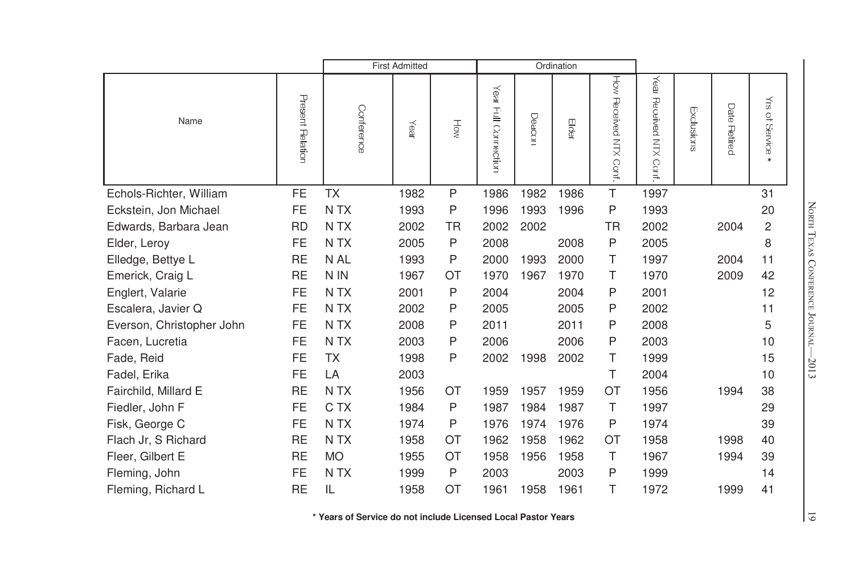|                           |                  | <b>First Admitted</b> |      |                |                         |        | Ordination |                        |                               |            |                 |                                   |
|---------------------------|------------------|-----------------------|------|----------------|-------------------------|--------|------------|------------------------|-------------------------------|------------|-----------------|-----------------------------------|
| Name                      | Present Relation | Conference            | Year | $\overline{R}$ | Year<br>Full Connection | Deacor | Elder      | How Received NTX Conf. | Year<br>Received NTX<br>Conf. | Exclusions | Date<br>Retired | $\approx$<br>of Service<br>$\ast$ |
| Echols-Richter, William   | <b>FE</b>        | <b>TX</b>             | 1982 | P              | 1986                    | 1982   | 1986       | T                      | 1997                          |            |                 | 31                                |
| Eckstein, Jon Michael     | <b>FE</b>        | N TX                  | 1993 | P              | 1996                    | 1993   | 1996       | P                      | 1993                          |            |                 | 20                                |
| Edwards, Barbara Jean     | <b>RD</b>        | N <sub>T</sub> X      | 2002 | <b>TR</b>      | 2002                    | 2002   |            | TR                     | 2002                          |            | 2004            | $\mathsf{2}\,$                    |
| Elder, Leroy              | <b>FE</b>        | N <sub>T</sub> X      | 2005 | P              | 2008                    |        | 2008       | P                      | 2005                          |            |                 | 8                                 |
| Elledge, Bettye L         | <b>RE</b>        | N AL                  | 1993 | Ρ              | 2000                    | 1993   | 2000       | т                      | 1997                          |            | 2004            | 11                                |
| Emerick, Craig L          | <b>RE</b>        | N IN                  | 1967 | OT             | 1970                    | 1967   | 1970       | Τ                      | 1970                          |            | 2009            | 42                                |
| Englert, Valarie          | <b>FE</b>        | N <sub>T</sub> X      | 2001 | P              | 2004                    |        | 2004       | P                      | 2001                          |            |                 | 12                                |
| Escalera, Javier Q        | <b>FE</b>        | N <sub>T</sub> X      | 2002 | Ρ              | 2005                    |        | 2005       | P                      | 2002                          |            |                 | 11                                |
| Everson, Christopher John | <b>FE</b>        | N TX                  | 2008 | P              | 2011                    |        | 2011       | P                      | 2008                          |            |                 | 5                                 |
| Facen, Lucretia           | <b>FE</b>        | N TX                  | 2003 | P              | 2006                    |        | 2006       | P                      | 2003                          |            |                 | 10                                |
| Fade, Reid                | <b>FE</b>        | <b>TX</b>             | 1998 | P              | 2002                    | 1998   | 2002       | т                      | 1999                          |            |                 | 15                                |
| Fadel, Erika              | FE               | LA                    | 2003 |                |                         |        |            | Τ                      | 2004                          |            |                 | 10                                |
| Fairchild, Millard E      | <b>RE</b>        | N TX                  | 1956 | OT             | 1959                    | 1957   | 1959       | <b>OT</b>              | 1956                          |            | 1994            | 38                                |
| Fiedler, John F           | <b>FE</b>        | C TX                  | 1984 | P              | 1987                    | 1984   | 1987       | Τ                      | 1997                          |            |                 | 29                                |
| Fisk, George C            | <b>FE</b>        | N TX                  | 1974 | P              | 1976                    | 1974   | 1976       | P                      | 1974                          |            |                 | 39                                |
| Flach Jr, S Richard       | <b>RE</b>        | N TX                  | 1958 | OT             | 1962                    | 1958   | 1962       | ОT                     | 1958                          |            | 1998            | 40                                |
| Fleer, Gilbert E          | RE               | <b>MO</b>             | 1955 | OT             | 1958                    | 1956   | 1958       | T                      | 1967                          |            | 1994            | 39                                |
| Fleming, John             | <b>FE</b>        | N TX                  | 1999 | P              | 2003                    |        | 2003       | P                      | 1999                          |            |                 | 14                                |
| Fleming, Richard L        | <b>RE</b>        | IL                    | 1958 | OT             | 1961                    | 1958   | 1961       | Τ                      | 1972                          |            | 1999            | 41                                |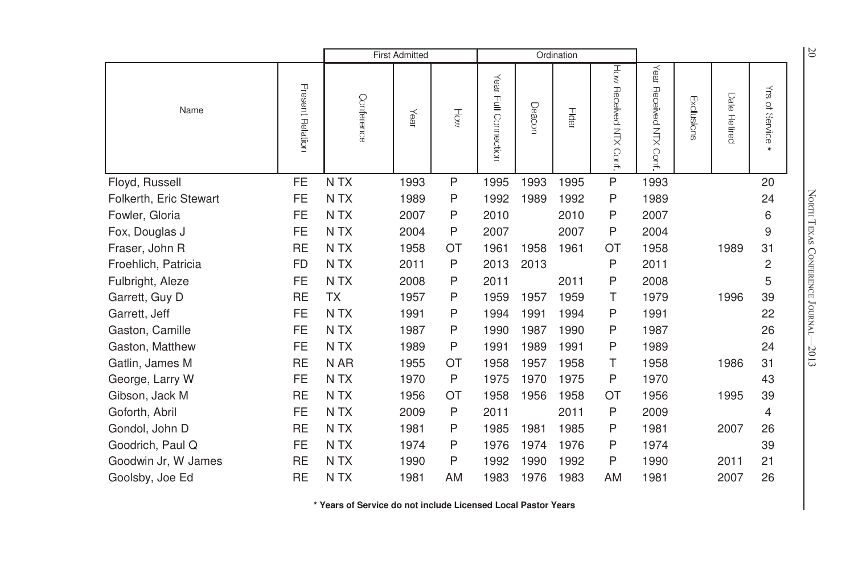|                        |                  |                  | <b>First Admitted</b> |              |                                |        | Ordination |                           |                               |            |                 |                 | 20                              |
|------------------------|------------------|------------------|-----------------------|--------------|--------------------------------|--------|------------|---------------------------|-------------------------------|------------|-----------------|-----------------|---------------------------------|
| Name                   | Present Relation | Conference       | Year                  | HÓN          | Year<br><b>Full Connection</b> | Deacon | Elder      | How Received NTX<br>Conf. | Year<br>Received NTX<br>Conf. | Exclusions | Date<br>Retired | ₹<br>of Service |                                 |
| Floyd, Russell         | FE               | N TX             | 1993                  | $\mathsf{P}$ | 1995                           | 1993   | 1995       | P                         | 1993                          |            |                 | 20              |                                 |
| Folkerth, Eric Stewart | FE               | N TX             | 1989                  | P            | 1992                           | 1989   | 1992       | P                         | 1989                          |            |                 | 24              |                                 |
| Fowler, Gloria         | FE               | N TX             | 2007                  | P            | 2010                           |        | 2010       | P                         | 2007                          |            |                 | 6               | NORTH TEXAS CONFERENCE JOURNAL- |
| Fox, Douglas J         | FE               | N TX             | 2004                  | P            | 2007                           |        | 2007       | P                         | 2004                          |            |                 | 9               |                                 |
| Fraser, John R         | <b>RE</b>        | N TX             | 1958                  | OT           | 1961                           | 1958   | 1961       | ОT                        | 1958                          |            | 1989            | 31              |                                 |
| Froehlich, Patricia    | <b>FD</b>        | N TX             | 2011                  | P            | 2013                           | 2013   |            | P                         | 2011                          |            |                 | 2               |                                 |
| Fulbright, Aleze       | FE               | N TX             | 2008                  | P            | 2011                           |        | 2011       | P                         | 2008                          |            |                 | 5               |                                 |
| Garrett, Guy D         | <b>RE</b>        | <b>TX</b>        | 1957                  | P            | 1959                           | 1957   | 1959       | т                         | 1979                          |            | 1996            | 39              |                                 |
| Garrett, Jeff          | <b>FE</b>        | N TX             | 1991                  | P            | 1994                           | 1991   | 1994       | P                         | 1991                          |            |                 | 22              |                                 |
| Gaston, Camille        | FE               | N TX             | 1987                  | P            | 1990                           | 1987   | 1990       | P                         | 1987                          |            |                 | 26              |                                 |
| Gaston, Matthew        | <b>FE</b>        | N TX             | 1989                  | P            | 1991                           | 1989   | 1991       | P                         | 1989                          |            |                 | 24              | $-2013$                         |
| Gatlin, James M        | <b>RE</b>        | N AR             | 1955                  | OT           | 1958                           | 1957   | 1958       | т                         | 1958                          |            | 1986            | 31              |                                 |
| George, Larry W        | <b>FE</b>        | N <sub>T</sub> X | 1970                  | P            | 1975                           | 1970   | 1975       | P                         | 1970                          |            |                 | 43              |                                 |
| Gibson, Jack M         | <b>RE</b>        | N TX             | 1956                  | OT           | 1958                           | 1956   | 1958       | <b>OT</b>                 | 1956                          |            | 1995            | 39              |                                 |
| Goforth, Abril         | <b>FE</b>        | N TX             | 2009                  | P            | 2011                           |        | 2011       | P                         | 2009                          |            |                 | 4               |                                 |
| Gondol, John D         | <b>RE</b>        | N TX             | 1981                  | P            | 1985                           | 1981   | 1985       | P                         | 1981                          |            | 2007            | 26              |                                 |
| Goodrich, Paul Q       | FE               | N TX             | 1974                  | P            | 1976                           | 1974   | 1976       | P                         | 1974                          |            |                 | 39              |                                 |
| Goodwin Jr, W James    | <b>RE</b>        | N TX             | 1990                  | P            | 1992                           | 1990   | 1992       | P                         | 1990                          |            | 2011            | 21              |                                 |
| Goolsby, Joe Ed        | <b>RE</b>        | N TX             | 1981                  | AM           | 1983                           | 1976   | 1983       | AM                        | 1981                          |            | 2007            | 26              |                                 |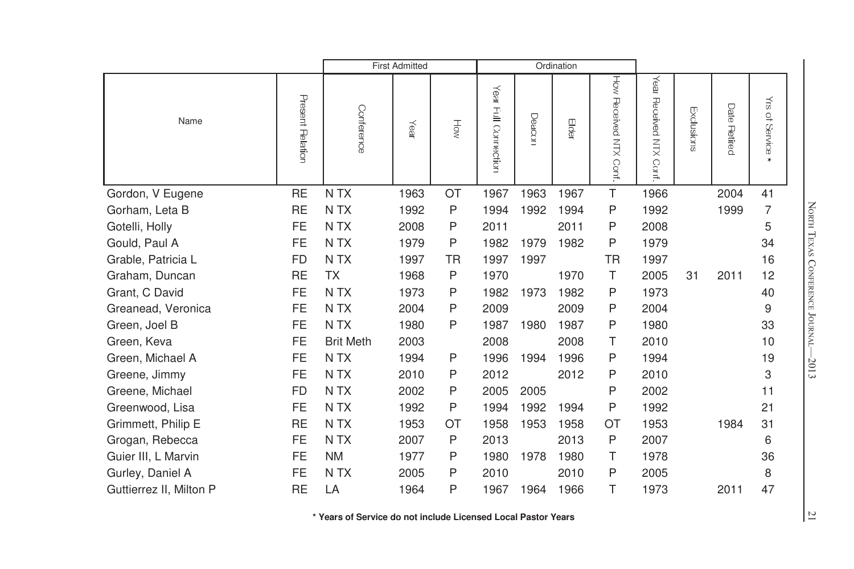|                         |                  | <b>First Admitted</b> |      |           |                      |        | Ordination |                        |                               |            |                 |                                        |
|-------------------------|------------------|-----------------------|------|-----------|----------------------|--------|------------|------------------------|-------------------------------|------------|-----------------|----------------------------------------|
| Name                    | Present Relation | Conference            | Year | How       | Year Full Connection | Deacon | Elder      | How Received NTX Cont. | Year<br>Received NTX<br>Conf. | Exclusions | Date<br>Retired | $\frac{1}{50}$<br>of Service<br>$\ast$ |
| Gordon, V Eugene        | <b>RE</b>        | N TX                  | 1963 | OT        | 1967                 | 1963   | 1967       | T                      | 1966                          |            | 2004            | 41                                     |
| Gorham, Leta B          | <b>RE</b>        | N TX                  | 1992 | P         | 1994                 | 1992   | 1994       | P                      | 1992                          |            | 1999            | 7                                      |
| Gotelli, Holly          | <b>FE</b>        | N TX                  | 2008 | P         | 2011                 |        | 2011       | P                      | 2008                          |            |                 | 5                                      |
| Gould, Paul A           | <b>FE</b>        | N TX                  | 1979 | P         | 1982                 | 1979   | 1982       | P                      | 1979                          |            |                 | 34                                     |
| Grable, Patricia L      | <b>FD</b>        | N TX                  | 1997 | <b>TR</b> | 1997                 | 1997   |            | TR                     | 1997                          |            |                 | 16                                     |
| Graham, Duncan          | <b>RE</b>        | <b>TX</b>             | 1968 | P         | 1970                 |        | 1970       | T.                     | 2005                          | 31         | 2011            | 12                                     |
| Grant, C David          | <b>FE</b>        | N TX                  | 1973 | P         | 1982                 | 1973   | 1982       | P                      | 1973                          |            |                 | 40                                     |
| Greanead, Veronica      | <b>FE</b>        | N TX                  | 2004 | P         | 2009                 |        | 2009       | P                      | 2004                          |            |                 | 9                                      |
| Green, Joel B           | <b>FE</b>        | N TX                  | 1980 | P         | 1987                 | 1980   | 1987       | P                      | 1980                          |            |                 | 33                                     |
| Green, Keva             | <b>FE</b>        | <b>Brit Meth</b>      | 2003 |           | 2008                 |        | 2008       | Τ                      | 2010                          |            |                 | 10                                     |
| Green, Michael A        | <b>FE</b>        | N TX                  | 1994 | P         | 1996                 | 1994   | 1996       | P                      | 1994                          |            |                 | 19                                     |
| Greene, Jimmy           | <b>FE</b>        | N TX                  | 2010 | P         | 2012                 |        | 2012       | P                      | 2010                          |            |                 | 3                                      |
| Greene, Michael         | <b>FD</b>        | N TX                  | 2002 | P         | 2005                 | 2005   |            | P                      | 2002                          |            |                 | 11                                     |
| Greenwood, Lisa         | <b>FE</b>        | N TX                  | 1992 | P         | 1994                 | 1992   | 1994       | P                      | 1992                          |            |                 | 21                                     |
| Grimmett, Philip E      | <b>RE</b>        | N TX                  | 1953 | OT        | 1958                 | 1953   | 1958       | OT                     | 1953                          |            | 1984            | 31                                     |
| Grogan, Rebecca         | <b>FE</b>        | N TX                  | 2007 | P         | 2013                 |        | 2013       | P                      | 2007                          |            |                 | 6                                      |
| Guier III, L Marvin     | <b>FE</b>        | <b>NM</b>             | 1977 | P         | 1980                 | 1978   | 1980       | Τ                      | 1978                          |            |                 | 36                                     |
| Gurley, Daniel A        | <b>FE</b>        | N TX                  | 2005 | P         | 2010                 |        | 2010       | P                      | 2005                          |            |                 | 8                                      |
| Guttierrez II, Milton P | <b>RE</b>        | LA                    | 1964 | P         | 1967                 | 1964   | 1966       |                        | 1973                          |            | 2011            | 47                                     |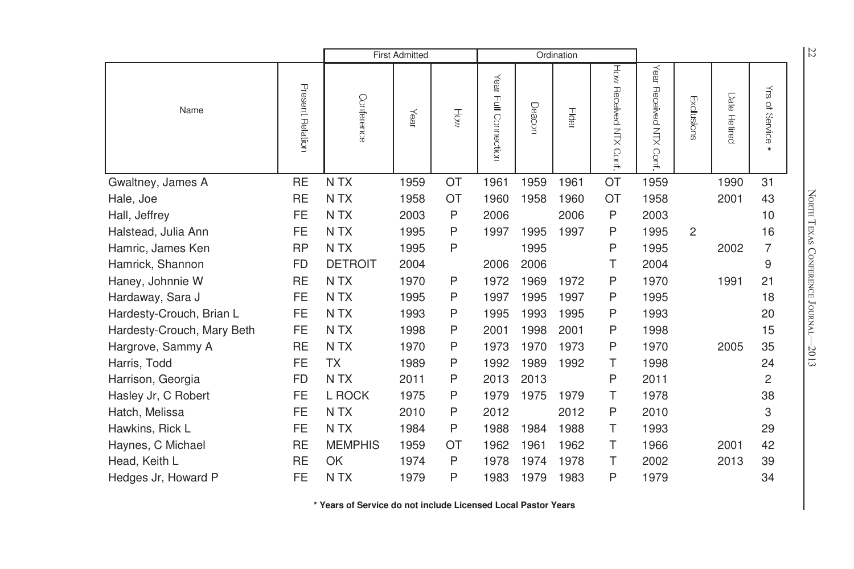|                            |                  |                  | <b>First Admitted</b> |                         |                                |        | Ordination |                        |                               |                |                 |                 | 22                              |
|----------------------------|------------------|------------------|-----------------------|-------------------------|--------------------------------|--------|------------|------------------------|-------------------------------|----------------|-----------------|-----------------|---------------------------------|
| Name                       | Present Relation | Conference       | Year                  | $\overline{\mathbb{R}}$ | Year<br><b>Full Connection</b> | Deacon | Elder      | How Received NTX Conf. | Year<br>Received NTX<br>Conf. | Exclusions     | Date<br>Retired | ₹<br>of Service |                                 |
| Gwaltney, James A          | <b>RE</b>        | N TX             | 1959                  | OT                      | 1961                           | 1959   | 1961       | OT                     | 1959                          |                | 1990            | 31              |                                 |
| Hale, Joe                  | <b>RE</b>        | N TX             | 1958                  | OT                      | 1960                           | 1958   | 1960       | <b>OT</b>              | 1958                          |                | 2001            | 43              |                                 |
| Hall, Jeffrey              | <b>FE</b>        | N TX             | 2003                  | P                       | 2006                           |        | 2006       | P                      | 2003                          |                |                 | 10              | NORTH TEXAS CONFERENCE JOURNAL- |
| Halstead, Julia Ann        | <b>FE</b>        | N <sub>T</sub> X | 1995                  | Ρ                       | 1997                           | 1995   | 1997       | P                      | 1995                          | $\overline{2}$ |                 | 16              |                                 |
| Hamric, James Ken          | <b>RP</b>        | N TX             | 1995                  | P                       |                                | 1995   |            | P                      | 1995                          |                | 2002            | $\overline{7}$  |                                 |
| Hamrick, Shannon           | <b>FD</b>        | <b>DETROIT</b>   | 2004                  |                         | 2006                           | 2006   |            | Τ                      | 2004                          |                |                 | 9               |                                 |
| Haney, Johnnie W           | <b>RE</b>        | N TX             | 1970                  | P                       | 1972                           | 1969   | 1972       | P                      | 1970                          |                | 1991            | 21              |                                 |
| Hardaway, Sara J           | FE               | N <sub>T</sub> X | 1995                  | P                       | 1997                           | 1995   | 1997       | P                      | 1995                          |                |                 | 18              |                                 |
| Hardesty-Crouch, Brian L   | <b>FE</b>        | N TX             | 1993                  | P                       | 1995                           | 1993   | 1995       | P                      | 1993                          |                |                 | 20              |                                 |
| Hardesty-Crouch, Mary Beth | <b>FE</b>        | N TX             | 1998                  | P                       | 2001                           | 1998   | 2001       | P                      | 1998                          |                |                 | 15              |                                 |
| Hargrove, Sammy A          | <b>RE</b>        | N <sub>T</sub> X | 1970                  | P                       | 1973                           | 1970   | 1973       | P                      | 1970                          |                | 2005            | 35              | $-2013$                         |
| Harris, Todd               | <b>FE</b>        | <b>TX</b>        | 1989                  | Ρ                       | 1992                           | 1989   | 1992       | т                      | 1998                          |                |                 | 24              |                                 |
| Harrison, Georgia          | <b>FD</b>        | N TX             | 2011                  | P                       | 2013                           | 2013   |            | P                      | 2011                          |                |                 | 2               |                                 |
| Hasley Jr, C Robert        | FE               | L ROCK           | 1975                  | P                       | 1979                           | 1975   | 1979       | т                      | 1978                          |                |                 | 38              |                                 |
| Hatch, Melissa             | <b>FE</b>        | N TX             | 2010                  | P                       | 2012                           |        | 2012       | P                      | 2010                          |                |                 | 3               |                                 |
| Hawkins, Rick L            | FE               | N TX             | 1984                  | P                       | 1988                           | 1984   | 1988       | Τ                      | 1993                          |                |                 | 29              |                                 |
| Haynes, C Michael          | <b>RE</b>        | <b>MEMPHIS</b>   | 1959                  | ОT                      | 1962                           | 1961   | 1962       | Τ                      | 1966                          |                | 2001            | 42              |                                 |
| Head, Keith L              | <b>RE</b>        | OK               | 1974                  | P                       | 1978                           | 1974   | 1978       | т                      | 2002                          |                | 2013            | 39              |                                 |
| Hedges Jr, Howard P        | <b>FE</b>        | N TX             | 1979                  | Ρ                       | 1983                           | 1979   | 1983       | P                      | 1979                          |                |                 | 34              |                                 |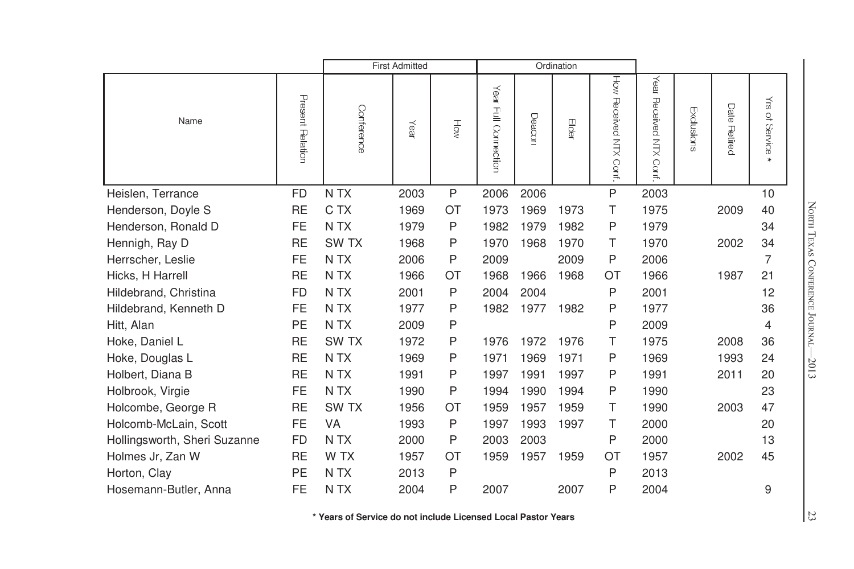|                              |                  |                  | <b>First Admitted</b> |           |                         |        | Ordination |                        |                               |            |              |                                                                        |
|------------------------------|------------------|------------------|-----------------------|-----------|-------------------------|--------|------------|------------------------|-------------------------------|------------|--------------|------------------------------------------------------------------------|
| Name                         | Present Relation | Conference       | Year                  | HÓN       | Year<br>Full Connection | Deacon | Elde       | How Received NTX Conf. | Year<br>Received NTX<br>Confi | Exclusions | Date Retired | $\stackrel{\textstyle <}{\scriptstyle \infty}$<br>of Service<br>$\ast$ |
| Heislen, Terrance            | <b>FD</b>        | N TX             | 2003                  | P         | 2006                    | 2006   |            | P                      | 2003                          |            |              | 10                                                                     |
| Henderson, Doyle S           | <b>RE</b>        | C TX             | 1969                  | OT        | 1973                    | 1969   | 1973       | T                      | 1975                          |            | 2009         | 40                                                                     |
| Henderson, Ronald D          | <b>FE</b>        | N TX             | 1979                  | P         | 1982                    | 1979   | 1982       | P                      | 1979                          |            |              | 34                                                                     |
| Hennigh, Ray D               | <b>RE</b>        | SW <sub>TX</sub> | 1968                  | P         | 1970                    | 1968   | 1970       | т                      | 1970                          |            | 2002         | 34                                                                     |
| Herrscher, Leslie            | <b>FE</b>        | N TX             | 2006                  | P         | 2009                    |        | 2009       | P                      | 2006                          |            |              | 7                                                                      |
| Hicks, H Harrell             | <b>RE</b>        | N TX             | 1966                  | OT        | 1968                    | 1966   | 1968       | ОT                     | 1966                          |            | 1987         | 21                                                                     |
| Hildebrand, Christina        | <b>FD</b>        | N TX             | 2001                  | P         | 2004                    | 2004   |            | P                      | 2001                          |            |              | 12                                                                     |
| Hildebrand, Kenneth D        | <b>FE</b>        | N TX             | 1977                  | P         | 1982                    | 1977   | 1982       | P                      | 1977                          |            |              | 36                                                                     |
| Hitt, Alan                   | PE               | N TX             | 2009                  | P         |                         |        |            | P                      | 2009                          |            |              | 4                                                                      |
| Hoke, Daniel L               | <b>RE</b>        | SW <sub>TX</sub> | 1972                  | P         | 1976                    | 1972   | 1976       | Τ                      | 1975                          |            | 2008         | 36                                                                     |
| Hoke, Douglas L              | <b>RE</b>        | N TX             | 1969                  | Ρ         | 1971                    | 1969   | 1971       | P                      | 1969                          |            | 1993         | 24                                                                     |
| Holbert, Diana B             | <b>RE</b>        | N TX             | 1991                  | P         | 1997                    | 1991   | 1997       | P                      | 1991                          |            | 2011         | 20                                                                     |
| Holbrook, Virgie             | <b>FE</b>        | N <sub>T</sub> X | 1990                  | P         | 1994                    | 1990   | 1994       | P                      | 1990                          |            |              | 23                                                                     |
| Holcombe, George R           | <b>RE</b>        | <b>SWTX</b>      | 1956                  | <b>OT</b> | 1959                    | 1957   | 1959       | Τ                      | 1990                          |            | 2003         | 47                                                                     |
| Holcomb-McLain, Scott        | FE.              | VA               | 1993                  | P         | 1997                    | 1993   | 1997       | т                      | 2000                          |            |              | 20                                                                     |
| Hollingsworth, Sheri Suzanne | <b>FD</b>        | N <sub>T</sub> X | 2000                  | P         | 2003                    | 2003   |            | P                      | 2000                          |            |              | 13                                                                     |
| Holmes Jr, Zan W             | <b>RE</b>        | W TX             | 1957                  | OT        | 1959                    | 1957   | 1959       | ОT                     | 1957                          |            | 2002         | 45                                                                     |
| Horton, Clay                 | PE               | N TX             | 2013                  | P         |                         |        |            | P                      | 2013                          |            |              |                                                                        |
| Hosemann-Butler, Anna        | <b>FE</b>        | N TX             | 2004                  | P         | 2007                    |        | 2007       | P                      | 2004                          |            |              | 9                                                                      |

NORTH TEXAS CONFERENCE JOURNAL—2013 NORTH TEXAS CONFERENCE JOURNAL—2013 23

 $33$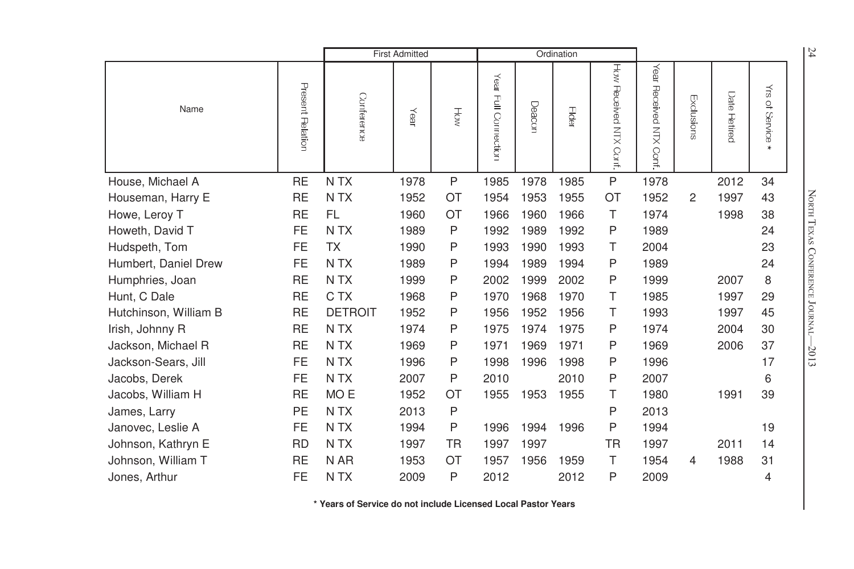|                       |                  | <b>First Admitted</b> |      |         |                                    |        | Ordination |                       |                               |            |                 |                  | 24                              |
|-----------------------|------------------|-----------------------|------|---------|------------------------------------|--------|------------|-----------------------|-------------------------------|------------|-----------------|------------------|---------------------------------|
| Name                  | Present Relation | Conference            | Year | HÓW     | Year<br>$\subseteqq$<br>Connection | Deacon | Elder      | How Received NTX Conf | Year<br>Received NTX<br>Conf. | Exclusions | Date<br>Retired | Ϋ́<br>of Service |                                 |
| House, Michael A      | <b>RE</b>        | N TX                  | 1978 | $\sf P$ | 1985                               | 1978   | 1985       | P                     | 1978                          |            | 2012            | 34               |                                 |
| Houseman, Harry E     | <b>RE</b>        | N TX                  | 1952 | OT      | 1954                               | 1953   | 1955       | OT                    | 1952                          | 2          | 1997            | 43               |                                 |
| Howe, Leroy T         | <b>RE</b>        | FL                    | 1960 | OT      | 1966                               | 1960   | 1966       | Τ                     | 1974                          |            | 1998            | 38               | NORTH TEXAS CONFERENCE JOURNAL- |
| Howeth, David T       | <b>FE</b>        | N TX                  | 1989 | P       | 1992                               | 1989   | 1992       | P                     | 1989                          |            |                 | 24               |                                 |
| Hudspeth, Tom         | <b>FE</b>        | <b>TX</b>             | 1990 | P       | 1993                               | 1990   | 1993       | т                     | 2004                          |            |                 | 23               |                                 |
| Humbert, Daniel Drew  | FE               | N TX                  | 1989 | P       | 1994                               | 1989   | 1994       | P                     | 1989                          |            |                 | 24               |                                 |
| Humphries, Joan       | <b>RE</b>        | N TX                  | 1999 | P       | 2002                               | 1999   | 2002       | P                     | 1999                          |            | 2007            | 8                |                                 |
| Hunt, C Dale          | <b>RE</b>        | C TX                  | 1968 | P       | 1970                               | 1968   | 1970       | т                     | 1985                          |            | 1997            | 29               |                                 |
| Hutchinson, William B | <b>RE</b>        | <b>DETROIT</b>        | 1952 | P       | 1956                               | 1952   | 1956       | т                     | 1993                          |            | 1997            | 45               |                                 |
| Irish, Johnny R       | <b>RE</b>        | N TX                  | 1974 | P       | 1975                               | 1974   | 1975       | P                     | 1974                          |            | 2004            | 30               |                                 |
| Jackson, Michael R    | <b>RE</b>        | N TX                  | 1969 | P       | 1971                               | 1969   | 1971       | P                     | 1969                          |            | 2006            | 37               | $-2013$                         |
| Jackson-Sears, Jill   | <b>FE</b>        | N TX                  | 1996 | P       | 1998                               | 1996   | 1998       | P                     | 1996                          |            |                 | 17               |                                 |
| Jacobs, Derek         | <b>FE</b>        | N TX                  | 2007 | P       | 2010                               |        | 2010       | P                     | 2007                          |            |                 | 6                |                                 |
| Jacobs, William H     | <b>RE</b>        | MO <sub>E</sub>       | 1952 | OT      | 1955                               | 1953   | 1955       | т                     | 1980                          |            | 1991            | 39               |                                 |
| James, Larry          | PE               | N TX                  | 2013 | P       |                                    |        |            | P                     | 2013                          |            |                 |                  |                                 |
| Janovec, Leslie A     | <b>FE</b>        | N TX                  | 1994 | P       | 1996                               | 1994   | 1996       | P                     | 1994                          |            |                 | 19               |                                 |
| Johnson, Kathryn E    | <b>RD</b>        | N TX                  | 1997 | TR      | 1997                               | 1997   |            | <b>TR</b>             | 1997                          |            | 2011            | 14               |                                 |
| Johnson, William T    | <b>RE</b>        | N AR                  | 1953 | OT      | 1957                               | 1956   | 1959       | Τ                     | 1954                          | 4          | 1988            | 31               |                                 |
| Jones, Arthur         | <b>FE</b>        | N <sub>T</sub> X      | 2009 | P       | 2012                               |        | 2012       | P                     | 2009                          |            |                 | 4                |                                 |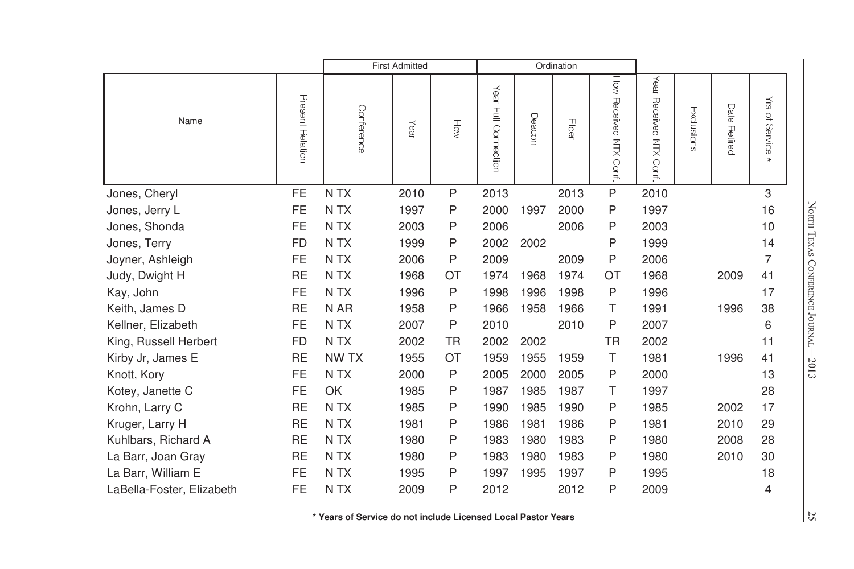|                           |                  |                  | <b>First Admitted</b> |           |                         |        | Ordination |                        |                               |            |                 |                                                                        |
|---------------------------|------------------|------------------|-----------------------|-----------|-------------------------|--------|------------|------------------------|-------------------------------|------------|-----------------|------------------------------------------------------------------------|
| Name                      | Present Relation | Conference       | Year                  | HÓN       | Year<br>Full Connection | Deacor | Elde       | How Received NTX Conf. | Year<br>Received NTX<br>Conf. | Exclusions | Date<br>Retired | $\stackrel{\textstyle <}{\scriptstyle \infty}$<br>of Service<br>$\ast$ |
| Jones, Cheryl             | <b>FE</b>        | N TX             | 2010                  | P         | 2013                    |        | 2013       | P                      | 2010                          |            |                 | 3                                                                      |
| Jones, Jerry L            | <b>FE</b>        | N TX             | 1997                  | P         | 2000                    | 1997   | 2000       | P                      | 1997                          |            |                 | 16                                                                     |
| Jones, Shonda             | <b>FE</b>        | N TX             | 2003                  | P         | 2006                    |        | 2006       | P                      | 2003                          |            |                 | 10                                                                     |
| Jones, Terry              | <b>FD</b>        | N TX             | 1999                  | P         | 2002                    | 2002   |            | Ρ                      | 1999                          |            |                 | 14                                                                     |
| Joyner, Ashleigh          | <b>FE</b>        | N TX             | 2006                  | P         | 2009                    |        | 2009       | P                      | 2006                          |            |                 | 7                                                                      |
| Judy, Dwight H            | <b>RE</b>        | N TX             | 1968                  | OT        | 1974                    | 1968   | 1974       | OT                     | 1968                          |            | 2009            | 41                                                                     |
| Kay, John                 | <b>FE</b>        | N TX             | 1996                  | P         | 1998                    | 1996   | 1998       | P                      | 1996                          |            |                 | 17                                                                     |
| Keith, James D            | <b>RE</b>        | N AR             | 1958                  | P         | 1966                    | 1958   | 1966       | т                      | 1991                          |            | 1996            | 38                                                                     |
| Kellner, Elizabeth        | <b>FE</b>        | N TX             | 2007                  | P         | 2010                    |        | 2010       | P                      | 2007                          |            |                 | 6                                                                      |
| King, Russell Herbert     | <b>FD</b>        | N TX             | 2002                  | <b>TR</b> | 2002                    | 2002   |            | <b>TR</b>              | 2002                          |            |                 | 11                                                                     |
| Kirby Jr, James E         | <b>RE</b>        | NW TX            | 1955                  | OT        | 1959                    | 1955   | 1959       | Τ                      | 1981                          |            | 1996            | 41                                                                     |
| Knott, Kory               | <b>FE</b>        | N TX             | 2000                  | P         | 2005                    | 2000   | 2005       | P                      | 2000                          |            |                 | 13                                                                     |
| Kotey, Janette C          | <b>FE</b>        | OK               | 1985                  | P         | 1987                    | 1985   | 1987       | т                      | 1997                          |            |                 | 28                                                                     |
| Krohn, Larry C            | <b>RE</b>        | N <sub>T</sub> X | 1985                  | P         | 1990                    | 1985   | 1990       | P                      | 1985                          |            | 2002            | 17                                                                     |
| Kruger, Larry H           | <b>RE</b>        | N TX             | 1981                  | P         | 1986                    | 1981   | 1986       | P                      | 1981                          |            | 2010            | 29                                                                     |
| Kuhlbars, Richard A       | <b>RE</b>        | N <sub>T</sub> X | 1980                  | P         | 1983                    | 1980   | 1983       | P                      | 1980                          |            | 2008            | 28                                                                     |
| La Barr, Joan Gray        | <b>RE</b>        | N <sub>T</sub> X | 1980                  | P         | 1983                    | 1980   | 1983       | P                      | 1980                          |            | 2010            | 30                                                                     |
| La Barr, William E        | <b>FE</b>        | N TX             | 1995                  | P         | 1997                    | 1995   | 1997       | P                      | 1995                          |            |                 | 18                                                                     |
| LaBella-Foster, Elizabeth | <b>FE</b>        | N <sub>T</sub> X | 2009                  | P         | 2012                    |        | 2012       | Ρ                      | 2009                          |            |                 | 4                                                                      |

NORTH TEXAS CONFERENCE JOURNAL—2013 NORTH TEXAS CONFERENCE JOURNAL—2013 25

 $32$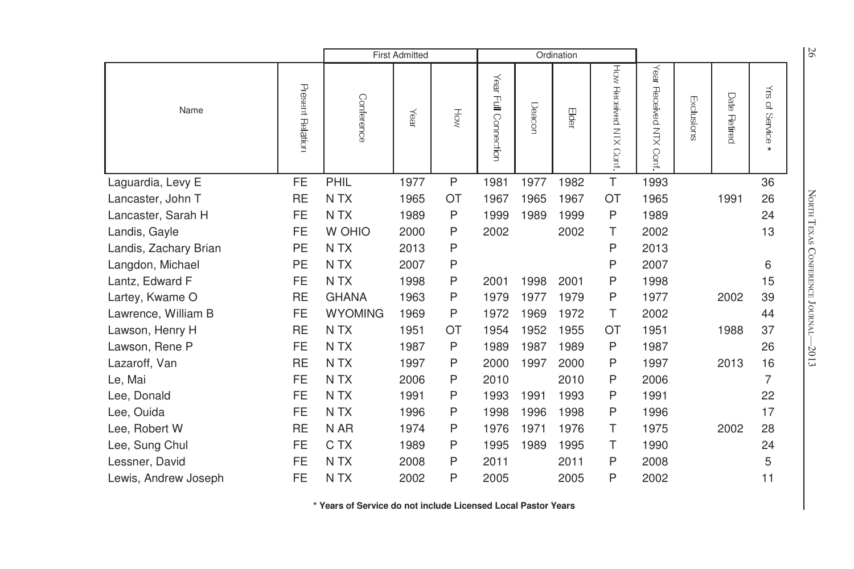|                       |                  | <b>First Admitted</b> |      |              |                                   | Ordination |       |                           |                               |            |                        | 26              |                                 |
|-----------------------|------------------|-----------------------|------|--------------|-----------------------------------|------------|-------|---------------------------|-------------------------------|------------|------------------------|-----------------|---------------------------------|
| Name                  | Present Relation | Conference            | Year | Hó           | Year<br>$\subseteq$<br>Connection | Deacor     | Elder | How Received NTX<br>Conf. | Year<br>Received NTX<br>Conf. | Exclusions | Date<br><b>Retired</b> | ₹<br>of Service |                                 |
| Laguardia, Levy E     | FE               | PHIL                  | 1977 | $\mathsf{P}$ | 1981                              | 1977       | 1982  | T                         | 1993                          |            |                        | 36              |                                 |
| Lancaster, John T     | <b>RE</b>        | N <sub>T</sub> X      | 1965 | OT           | 1967                              | 1965       | 1967  | OT                        | 1965                          |            | 1991                   | 26              |                                 |
| Lancaster, Sarah H    | <b>FE</b>        | N TX                  | 1989 | P            | 1999                              | 1989       | 1999  | P                         | 1989                          |            |                        | 24              | NORTH TEXAS CONFERENCE JOURNAL- |
| Landis, Gayle         | FE               | W OHIO                | 2000 | Ρ            | 2002                              |            | 2002  | Τ                         | 2002                          |            |                        | 13              |                                 |
| Landis, Zachary Brian | PE               | N TX                  | 2013 | P            |                                   |            |       | P                         | 2013                          |            |                        |                 |                                 |
| Langdon, Michael      | PE               | N <sub>T</sub> X      | 2007 | Ρ            |                                   |            |       | P                         | 2007                          |            |                        | 6               |                                 |
| Lantz, Edward F       | <b>FE</b>        | N <sub>T</sub> X      | 1998 | P            | 2001                              | 1998       | 2001  | P                         | 1998                          |            |                        | 15              |                                 |
| Lartey, Kwame O       | <b>RE</b>        | <b>GHANA</b>          | 1963 | Ρ            | 1979                              | 1977       | 1979  | P                         | 1977                          |            | 2002                   | 39              |                                 |
| Lawrence, William B   | <b>FE</b>        | <b>WYOMING</b>        | 1969 | Ρ            | 1972                              | 1969       | 1972  | T                         | 2002                          |            |                        | 44              |                                 |
| Lawson, Henry H       | <b>RE</b>        | N <sub>TX</sub>       | 1951 | OT           | 1954                              | 1952       | 1955  | OT                        | 1951                          |            | 1988                   | 37              |                                 |
| Lawson, Rene P        | <b>FE</b>        | N TX                  | 1987 | P            | 1989                              | 1987       | 1989  | P                         | 1987                          |            |                        | 26              | $-2013$                         |
| Lazaroff, Van         | <b>RE</b>        | N TX                  | 1997 | Ρ            | 2000                              | 1997       | 2000  | P                         | 1997                          |            | 2013                   | 16              |                                 |
| Le, Mai               | <b>FE</b>        | N <sub>T</sub> X      | 2006 | Ρ            | 2010                              |            | 2010  | P                         | 2006                          |            |                        | 7               |                                 |
| Lee, Donald           | <b>FE</b>        | N <sub>T</sub> X      | 1991 | Ρ            | 1993                              | 1991       | 1993  | P                         | 1991                          |            |                        | 22              |                                 |
| Lee, Ouida            | <b>FE</b>        | N TX                  | 1996 | Ρ            | 1998                              | 1996       | 1998  | P                         | 1996                          |            |                        | 17              |                                 |
| Lee, Robert W         | <b>RE</b>        | N AR                  | 1974 | Ρ            | 1976                              | 1971       | 1976  | т                         | 1975                          |            | 2002                   | 28              |                                 |
| Lee, Sung Chul        | FE               | C TX                  | 1989 | Ρ            | 1995                              | 1989       | 1995  | т                         | 1990                          |            |                        | 24              |                                 |
| Lessner, David        | <b>FE</b>        | N TX                  | 2008 | Ρ            | 2011                              |            | 2011  | P                         | 2008                          |            |                        | 5               |                                 |
| Lewis, Andrew Joseph  | FE               | N TX                  | 2002 | Ρ            | 2005                              |            | 2005  | P                         | 2002                          |            |                        | 11              |                                 |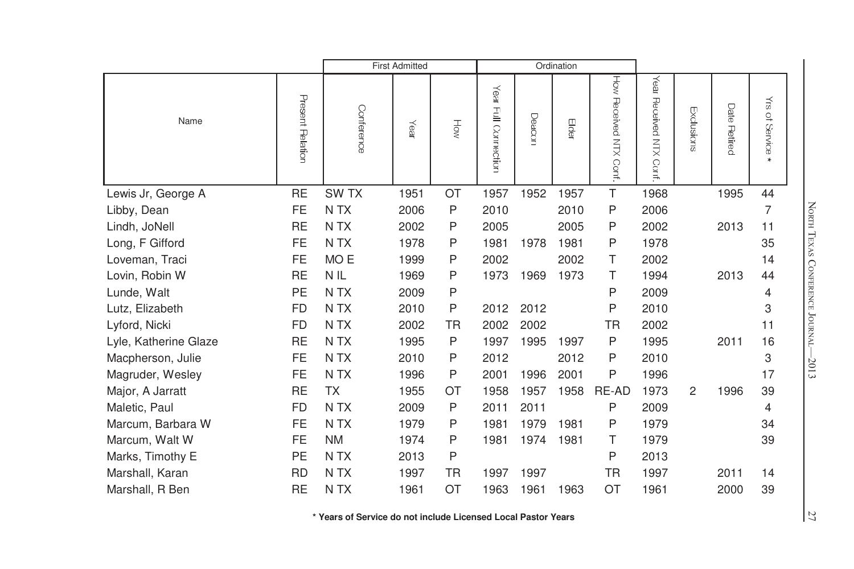|                       |                  | <b>First Admitted</b> |      |           |                                            |        | Ordination |                        |                               |            |              |                            |
|-----------------------|------------------|-----------------------|------|-----------|--------------------------------------------|--------|------------|------------------------|-------------------------------|------------|--------------|----------------------------|
| Name                  | Present Relation | Conference            | Year | Hów       | $\overline{\text{keV}}$<br>Full Connection | Deacor | Elder      | How Received NTX Conf. | Year<br>Received NTX<br>Conf. | Exclusions | Date Retired | λÎ<br>of Service<br>$\ast$ |
| Lewis Jr, George A    | <b>RE</b>        | SW <sub>TX</sub>      | 1951 | OT        | 1957                                       | 1952   | 1957       | T                      | 1968                          |            | 1995         | 44                         |
| Libby, Dean           | <b>FE</b>        | N TX                  | 2006 | P         | 2010                                       |        | 2010       | P                      | 2006                          |            |              | 7                          |
| Lindh, JoNell         | <b>RE</b>        | N TX                  | 2002 | Ρ         | 2005                                       |        | 2005       | P                      | 2002                          |            | 2013         | 11                         |
| Long, F Gifford       | <b>FE</b>        | N <sub>T</sub> X      | 1978 | P         | 1981                                       | 1978   | 1981       | P                      | 1978                          |            |              | 35                         |
| Loveman, Traci        | FE               | MO <sub>E</sub>       | 1999 | Ρ         | 2002                                       |        | 2002       | Τ                      | 2002                          |            |              | 14                         |
| Lovin, Robin W        | <b>RE</b>        | N IL                  | 1969 | Ρ         | 1973                                       | 1969   | 1973       | т                      | 1994                          |            | 2013         | 44                         |
| Lunde, Walt           | PE               | N TX                  | 2009 | Ρ         |                                            |        |            | P                      | 2009                          |            |              | 4                          |
| Lutz, Elizabeth       | <b>FD</b>        | N <sub>T</sub> X      | 2010 | P         | 2012                                       | 2012   |            | P                      | 2010                          |            |              | 3                          |
| Lyford, Nicki         | <b>FD</b>        | N TX                  | 2002 | <b>TR</b> | 2002                                       | 2002   |            | <b>TR</b>              | 2002                          |            |              | 11                         |
| Lyle, Katherine Glaze | <b>RE</b>        | N <sub>T</sub> X      | 1995 | P         | 1997                                       | 1995   | 1997       | P                      | 1995                          |            | 2011         | 16                         |
| Macpherson, Julie     | <b>FE</b>        | N TX                  | 2010 | Ρ         | 2012                                       |        | 2012       | P                      | 2010                          |            |              | 3                          |
| Magruder, Wesley      | <b>FE</b>        | N TX                  | 1996 | P         | 2001                                       | 1996   | 2001       | P                      | 1996                          |            |              | 17                         |
| Major, A Jarratt      | <b>RE</b>        | <b>TX</b>             | 1955 | OT        | 1958                                       | 1957   | 1958       | RE-AD                  | 1973                          | 2          | 1996         | 39                         |
| Maletic, Paul         | <b>FD</b>        | N TX                  | 2009 | P         | 2011                                       | 2011   |            | P                      | 2009                          |            |              | 4                          |
| Marcum, Barbara W     | <b>FE</b>        | N <sub>T</sub> X      | 1979 | Ρ         | 1981                                       | 1979   | 1981       | P                      | 1979                          |            |              | 34                         |
| Marcum, Walt W        | <b>FE</b>        | <b>NM</b>             | 1974 | Ρ         | 1981                                       | 1974   | 1981       | т                      | 1979                          |            |              | 39                         |
| Marks, Timothy E      | <b>PE</b>        | N TX                  | 2013 | P         |                                            |        |            | P                      | 2013                          |            |              |                            |
| Marshall, Karan       | <b>RD</b>        | N <sub>T</sub> X      | 1997 | TR        | 1997                                       | 1997   |            | <b>TR</b>              | 1997                          |            | 2011         | 14                         |
| Marshall, R Ben       | <b>RE</b>        | N TX                  | 1961 | ОT        | 1963                                       | 1961   | 1963       | ОT                     | 1961                          |            | 2000         | 39                         |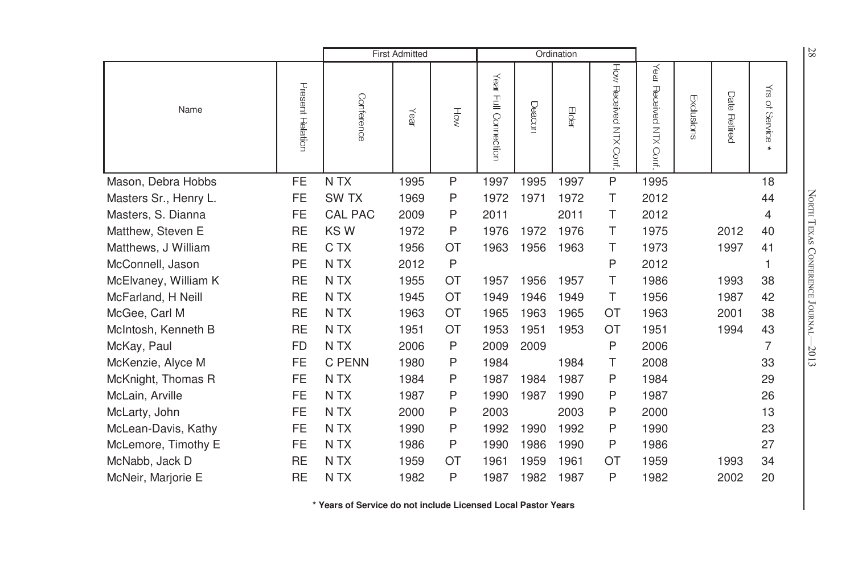|                       |                  | <b>First Admitted</b> |      |     | Ordination                 |        |       |                           |                               |            | 28              |                             |                                 |
|-----------------------|------------------|-----------------------|------|-----|----------------------------|--------|-------|---------------------------|-------------------------------|------------|-----------------|-----------------------------|---------------------------------|
| Name                  | Present Relation | Conference            | Year | How | $Y$ ear<br>Full Connection | Deacon | Elder | How Received NTX<br>Conf. | Year<br>Received NTX<br>Conf. | Exclusions | Date<br>Retired | $\frac{1}{3}$<br>of Service |                                 |
| Mason, Debra Hobbs    | FE               | N TX                  | 1995 | P   | 1997                       | 1995   | 1997  | $\mathsf P$               | 1995                          |            |                 | 18                          |                                 |
| Masters Sr., Henry L. | <b>FE</b>        | SW <sub>TX</sub>      | 1969 | P   | 1972                       | 1971   | 1972  | Τ                         | 2012                          |            |                 | 44                          | NORTH TEXAS CONFERENCE JOURNAL- |
| Masters, S. Dianna    | <b>FE</b>        | <b>CAL PAC</b>        | 2009 | Ρ   | 2011                       |        | 2011  | T                         | 2012                          |            |                 | 4                           |                                 |
| Matthew, Steven E     | <b>RE</b>        | KSW                   | 1972 | P   | 1976                       | 1972   | 1976  | т                         | 1975                          |            | 2012            | 40                          |                                 |
| Matthews, J William   | <b>RE</b>        | C TX                  | 1956 | ОT  | 1963                       | 1956   | 1963  | Τ                         | 1973                          |            | 1997            | 41                          |                                 |
| McConnell, Jason      | PE               | N TX                  | 2012 | P   |                            |        |       | P                         | 2012                          |            |                 | 1                           |                                 |
| McElvaney, William K  | <b>RE</b>        | N TX                  | 1955 | OT  | 1957                       | 1956   | 1957  | T                         | 1986                          |            | 1993            | 38                          |                                 |
| McFarland, H Neill    | <b>RE</b>        | N TX                  | 1945 | OT  | 1949                       | 1946   | 1949  | Τ                         | 1956                          |            | 1987            | 42                          |                                 |
| McGee, Carl M         | <b>RE</b>        | N TX                  | 1963 | OT  | 1965                       | 1963   | 1965  | <b>OT</b>                 | 1963                          |            | 2001            | 38                          |                                 |
| McIntosh, Kenneth B   | <b>RE</b>        | N TX                  | 1951 | OT  | 1953                       | 1951   | 1953  | <b>OT</b>                 | 1951                          |            | 1994            | 43                          |                                 |
| McKay, Paul           | <b>FD</b>        | N TX                  | 2006 | Ρ   | 2009                       | 2009   |       | P                         | 2006                          |            |                 | 7                           | $-2013$                         |
| McKenzie, Alyce M     | <b>FE</b>        | C PENN                | 1980 | Ρ   | 1984                       |        | 1984  | Τ                         | 2008                          |            |                 | 33                          |                                 |
| McKnight, Thomas R    | <b>FE</b>        | N TX                  | 1984 | Ρ   | 1987                       | 1984   | 1987  | P                         | 1984                          |            |                 | 29                          |                                 |
| McLain, Arville       | <b>FE</b>        | N TX                  | 1987 | Ρ   | 1990                       | 1987   | 1990  | P                         | 1987                          |            |                 | 26                          |                                 |
| McLarty, John         | <b>FE</b>        | N TX                  | 2000 | P   | 2003                       |        | 2003  | P                         | 2000                          |            |                 | 13                          |                                 |
| McLean-Davis, Kathy   | FE               | N <sub>T</sub> X      | 1990 | Ρ   | 1992                       | 1990   | 1992  | P                         | 1990                          |            |                 | 23                          |                                 |
| McLemore, Timothy E   | FE               | N TX                  | 1986 | Ρ   | 1990                       | 1986   | 1990  | P                         | 1986                          |            |                 | 27                          |                                 |
| McNabb, Jack D        | <b>RE</b>        | N TX                  | 1959 | ОT  | 1961                       | 1959   | 1961  | <b>OT</b>                 | 1959                          |            | 1993            | 34                          |                                 |
| McNeir, Marjorie E    | RE               | N TX                  | 1982 | P   | 1987                       | 1982   | 1987  | P                         | 1982                          |            | 2002            | 20                          |                                 |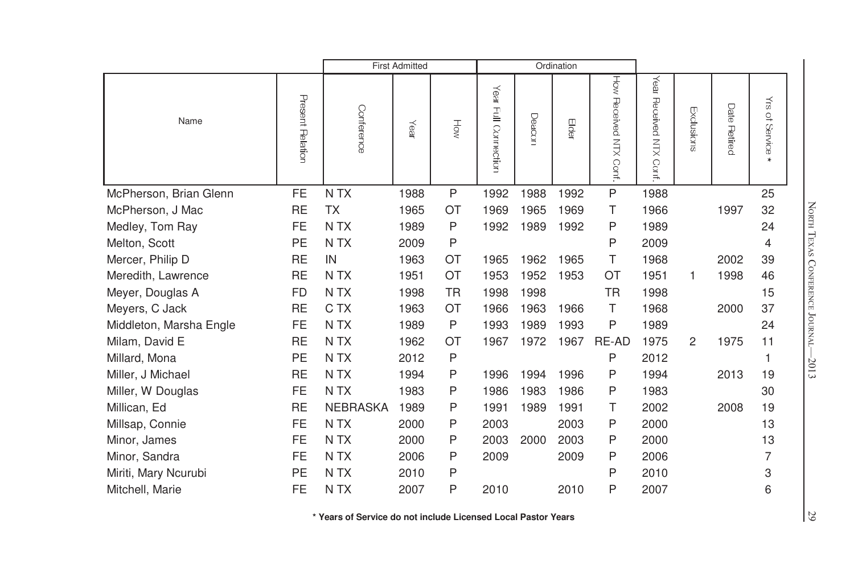|                         |                  |                 | <b>First Admitted</b> |             |                                        |        | Ordination |                        |                               |            |              |                                        |
|-------------------------|------------------|-----------------|-----------------------|-------------|----------------------------------------|--------|------------|------------------------|-------------------------------|------------|--------------|----------------------------------------|
| Name                    | Present Relation | Conference      | Year                  | $rac{1}{2}$ | $\gamma$ ear<br><b>Full Connection</b> | Deacor | Elder      | How Received NTX Conf. | Year<br>Received NTX<br>Conf. | Exclusions | Date Retired | $\frac{1}{50}$<br>of Service<br>$\ast$ |
| McPherson, Brian Glenn  | <b>FE</b>        | N TX            | 1988                  | P           | 1992                                   | 1988   | 1992       | P                      | 1988                          |            |              | 25                                     |
| McPherson, J Mac        | <b>RE</b>        | <b>TX</b>       | 1965                  | OT          | 1969                                   | 1965   | 1969       | Т                      | 1966                          |            | 1997         | 32                                     |
| Medley, Tom Ray         | <b>FE</b>        | N TX            | 1989                  | P           | 1992                                   | 1989   | 1992       | P                      | 1989                          |            |              | 24                                     |
| Melton, Scott           | <b>PE</b>        | N TX            | 2009                  | P           |                                        |        |            | P                      | 2009                          |            |              | 4                                      |
| Mercer, Philip D        | <b>RE</b>        | IN              | 1963                  | OT          | 1965                                   | 1962   | 1965       | т                      | 1968                          |            | 2002         | 39                                     |
| Meredith, Lawrence      | <b>RE</b>        | N TX            | 1951                  | OT          | 1953                                   | 1952   | 1953       | OT                     | 1951                          | 1          | 1998         | 46                                     |
| Meyer, Douglas A        | <b>FD</b>        | N TX            | 1998                  | <b>TR</b>   | 1998                                   | 1998   |            | <b>TR</b>              | 1998                          |            |              | 15                                     |
| Meyers, C Jack          | <b>RE</b>        | C TX            | 1963                  | OT          | 1966                                   | 1963   | 1966       | Τ                      | 1968                          |            | 2000         | 37                                     |
| Middleton, Marsha Engle | <b>FE</b>        | N TX            | 1989                  | P           | 1993                                   | 1989   | 1993       | P                      | 1989                          |            |              | 24                                     |
| Milam, David E          | <b>RE</b>        | N TX            | 1962                  | OT          | 1967                                   | 1972   | 1967       | RE-AD                  | 1975                          | 2          | 1975         | 11                                     |
| Millard, Mona           | <b>PE</b>        | N TX            | 2012                  | P           |                                        |        |            | P                      | 2012                          |            |              |                                        |
| Miller, J Michael       | <b>RE</b>        | N TX            | 1994                  | P           | 1996                                   | 1994   | 1996       | P                      | 1994                          |            | 2013         | 19                                     |
| Miller, W Douglas       | <b>FE</b>        | N TX            | 1983                  | P           | 1986                                   | 1983   | 1986       | P                      | 1983                          |            |              | 30                                     |
| Millican, Ed            | <b>RE</b>        | <b>NEBRASKA</b> | 1989                  | P           | 1991                                   | 1989   | 1991       | т                      | 2002                          |            | 2008         | 19                                     |
| Millsap, Connie         | <b>FE</b>        | N TX            | 2000                  | P           | 2003                                   |        | 2003       | P                      | 2000                          |            |              | 13                                     |
| Minor, James            | <b>FE</b>        | N TX            | 2000                  | P           | 2003                                   | 2000   | 2003       | P                      | 2000                          |            |              | 13                                     |
| Minor, Sandra           | <b>FE</b>        | N TX            | 2006                  | P           | 2009                                   |        | 2009       | P                      | 2006                          |            |              | 7                                      |
| Miriti, Mary Ncurubi    | PE               | N TX            | 2010                  | P           |                                        |        |            | P                      | 2010                          |            |              | 3                                      |
| Mitchell, Marie         | FE               | N TX            | 2007                  | P           | 2010                                   |        | 2010       | P                      | 2007                          |            |              | 6                                      |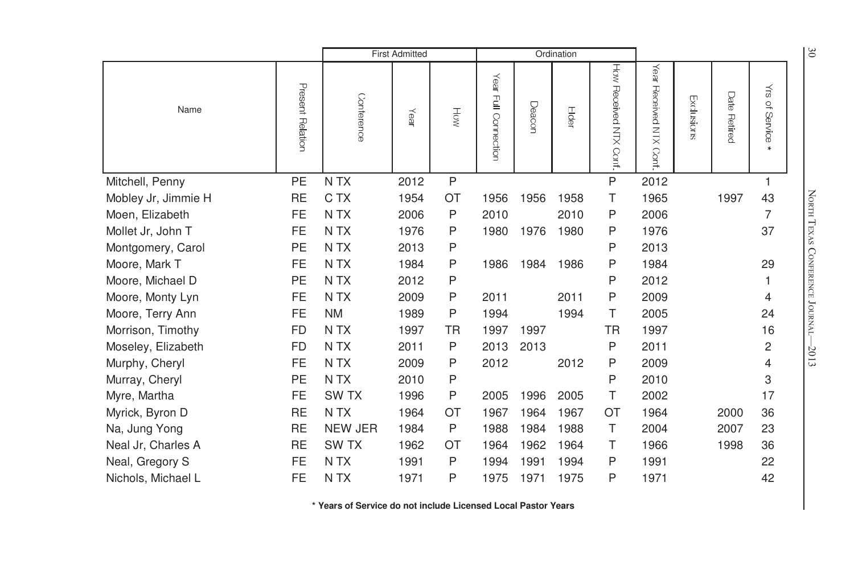|                     |                  |                  | <b>First Admitted</b> |           |                                         |        | Ordination |                           |                               |            |                        |                                     | $\tilde{c}$                     |
|---------------------|------------------|------------------|-----------------------|-----------|-----------------------------------------|--------|------------|---------------------------|-------------------------------|------------|------------------------|-------------------------------------|---------------------------------|
| Name                | Present Relation | Conference       | Year                  | How       | $\searrow$<br>$\subseteq$<br>Connection | Deacon | Eldel      | How Received NTX<br>Conf. | Year<br>Received NTX<br>Conf. | Exclusions | Date<br><b>Retired</b> | $\frac{1}{50}$<br>$\cup$<br>Service |                                 |
| Mitchell, Penny     | PE               | N TX             | 2012                  | P         |                                         |        |            | P                         | 2012                          |            |                        | 1                                   |                                 |
| Mobley Jr, Jimmie H | <b>RE</b>        | C TX             | 1954                  | OT        | 1956                                    | 1956   | 1958       | T                         | 1965                          |            | 1997                   | 43                                  | NORTH TEXAS CONFERENCE JOURNAL- |
| Moen, Elizabeth     | <b>FE</b>        | N TX             | 2006                  | P         | 2010                                    |        | 2010       | P                         | 2006                          |            |                        | 7                                   |                                 |
| Mollet Jr, John T   | <b>FE</b>        | N TX             | 1976                  | P         | 1980                                    | 1976   | 1980       | P                         | 1976                          |            |                        | 37                                  |                                 |
| Montgomery, Carol   | PE               | N TX             | 2013                  | P         |                                         |        |            | P                         | 2013                          |            |                        |                                     |                                 |
| Moore, Mark T       | <b>FE</b>        | N TX             | 1984                  | Ρ         | 1986                                    | 1984   | 1986       | P                         | 1984                          |            |                        | 29                                  |                                 |
| Moore, Michael D    | PE               | N TX             | 2012                  | P         |                                         |        |            | P                         | 2012                          |            |                        |                                     |                                 |
| Moore, Monty Lyn    | <b>FE</b>        | N TX             | 2009                  | P         | 2011                                    |        | 2011       | P                         | 2009                          |            |                        | 4                                   |                                 |
| Moore, Terry Ann    | <b>FE</b>        | <b>NM</b>        | 1989                  | P         | 1994                                    |        | 1994       | Τ                         | 2005                          |            |                        | 24                                  |                                 |
| Morrison, Timothy   | FD               | N TX             | 1997                  | <b>TR</b> | 1997                                    | 1997   |            | TR                        | 1997                          |            |                        | 16                                  |                                 |
| Moseley, Elizabeth  | <b>FD</b>        | N TX             | 2011                  | P         | 2013                                    | 2013   |            | P                         | 2011                          |            |                        | 2                                   | $-2013$                         |
| Murphy, Cheryl      | FE               | N TX             | 2009                  | Ρ         | 2012                                    |        | 2012       | P                         | 2009                          |            |                        | 4                                   |                                 |
| Murray, Cheryl      | PE               | N <sub>T</sub> X | 2010                  | Ρ         |                                         |        |            | P                         | 2010                          |            |                        | 3                                   |                                 |
| Myre, Martha        | FE               | <b>SWTX</b>      | 1996                  | Ρ         | 2005                                    | 1996   | 2005       | Τ                         | 2002                          |            |                        | 17                                  |                                 |
| Myrick, Byron D     | <b>RE</b>        | N TX             | 1964                  | OT        | 1967                                    | 1964   | 1967       | OT                        | 1964                          |            | 2000                   | 36                                  |                                 |
| Na, Jung Yong       | <b>RE</b>        | <b>NEW JER</b>   | 1984                  | P         | 1988                                    | 1984   | 1988       | T                         | 2004                          |            | 2007                   | 23                                  |                                 |
| Neal Jr, Charles A  | <b>RE</b>        | SW TX            | 1962                  | OT        | 1964                                    | 1962   | 1964       | Τ                         | 1966                          |            | 1998                   | 36                                  |                                 |
| Neal, Gregory S     | FE               | N TX             | 1991                  | P         | 1994                                    | 1991   | 1994       | P                         | 1991                          |            |                        | 22                                  |                                 |
| Nichols, Michael L  | FE               | N TX             | 1971                  | Ρ         | 1975                                    | 1971   | 1975       | P                         | 1971                          |            |                        | 42                                  |                                 |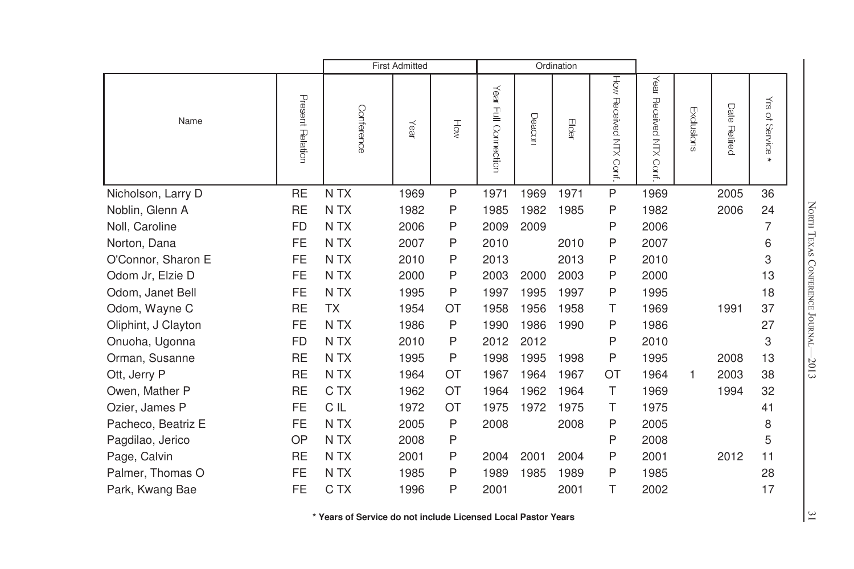|                     |                  | <b>First Admitted</b> |      |                |                                            | Ordination |       |                        |                               |            |                 |                            |
|---------------------|------------------|-----------------------|------|----------------|--------------------------------------------|------------|-------|------------------------|-------------------------------|------------|-----------------|----------------------------|
| Name                | Present Relation | Conference            | Year | $\overline{R}$ | $\overline{\text{keV}}$<br>Full Connection | Deacor     | Elder | How Received NTX Conf. | Year<br>Received NTX<br>Conf. | Exclusions | Date<br>Retired | λÎ<br>of Service<br>$\ast$ |
| Nicholson, Larry D  | <b>RE</b>        | N TX                  | 1969 | Ρ              | 1971                                       | 1969       | 1971  | P                      | 1969                          |            | 2005            | 36                         |
| Noblin, Glenn A     | <b>RE</b>        | N TX                  | 1982 | Ρ              | 1985                                       | 1982       | 1985  | P                      | 1982                          |            | 2006            | 24                         |
| Noll, Caroline      | <b>FD</b>        | N TX                  | 2006 | Ρ              | 2009                                       | 2009       |       | P                      | 2006                          |            |                 | 7                          |
| Norton, Dana        | <b>FE</b>        | N TX                  | 2007 | Ρ              | 2010                                       |            | 2010  | P                      | 2007                          |            |                 | 6                          |
| O'Connor, Sharon E  | <b>FE</b>        | N <sub>T</sub> X      | 2010 | Ρ              | 2013                                       |            | 2013  | P                      | 2010                          |            |                 | 3                          |
| Odom Jr, Elzie D    | <b>FE</b>        | N <sub>T</sub> X      | 2000 | P              | 2003                                       | 2000       | 2003  | P                      | 2000                          |            |                 | 13                         |
| Odom, Janet Bell    | FE               | N TX                  | 1995 | Ρ              | 1997                                       | 1995       | 1997  | P                      | 1995                          |            |                 | 18                         |
| Odom, Wayne C       | <b>RE</b>        | <b>TX</b>             | 1954 | OT             | 1958                                       | 1956       | 1958  | т                      | 1969                          |            | 1991            | 37                         |
| Oliphint, J Clayton | <b>FE</b>        | N TX                  | 1986 | Ρ              | 1990                                       | 1986       | 1990  | P                      | 1986                          |            |                 | 27                         |
| Onuoha, Ugonna      | <b>FD</b>        | N TX                  | 2010 | P              | 2012                                       | 2012       |       | P                      | 2010                          |            |                 | 3                          |
| Orman, Susanne      | <b>RE</b>        | N TX                  | 1995 | Ρ              | 1998                                       | 1995       | 1998  | P                      | 1995                          |            | 2008            | 13                         |
| Ott, Jerry P        | <b>RE</b>        | N TX                  | 1964 | OT             | 1967                                       | 1964       | 1967  | <b>OT</b>              | 1964                          | 1          | 2003            | 38                         |
| Owen, Mather P      | RE               | C TX                  | 1962 | OT             | 1964                                       | 1962       | 1964  | Τ                      | 1969                          |            | 1994            | 32                         |
| Ozier, James P      | <b>FE</b>        | C IL                  | 1972 | OT             | 1975                                       | 1972       | 1975  | т                      | 1975                          |            |                 | 41                         |
| Pacheco, Beatriz E  | FE               | N <sub>T</sub> X      | 2005 | P              | 2008                                       |            | 2008  | P                      | 2005                          |            |                 | 8                          |
| Pagdilao, Jerico    | OP               | N TX                  | 2008 | Ρ              |                                            |            |       | P                      | 2008                          |            |                 | 5                          |
| Page, Calvin        | <b>RE</b>        | N TX                  | 2001 | Ρ              | 2004                                       | 2001       | 2004  | P                      | 2001                          |            | 2012            | 11                         |
| Palmer, Thomas O    | FE               | N TX                  | 1985 | P              | 1989                                       | 1985       | 1989  | P                      | 1985                          |            |                 | 28                         |
| Park, Kwang Bae     | <b>FE</b>        | C TX                  | 1996 | P              | 2001                                       |            | 2001  | Τ                      | 2002                          |            |                 | 17                         |

 $\frac{21}{2}$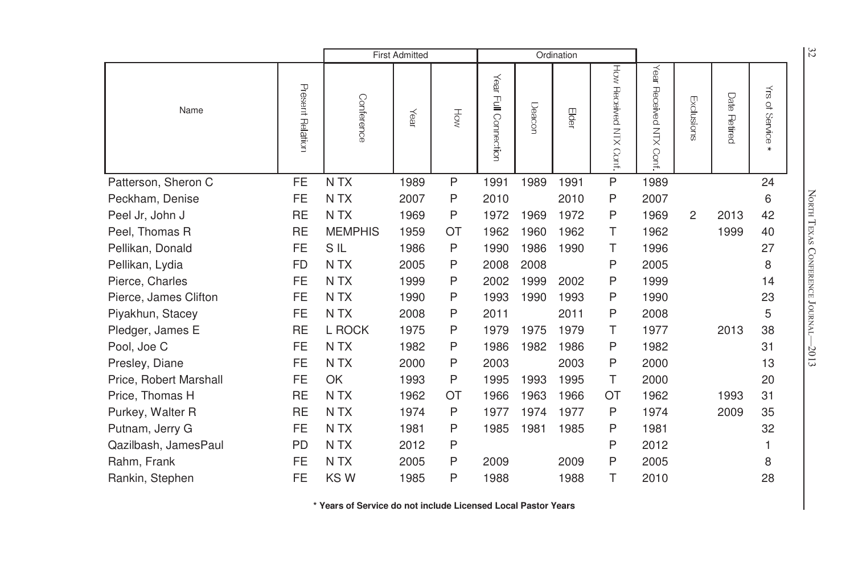|                        |                  | <b>First Admitted</b> |      |              |                                   | Ordination |       |                           |                               |            |                        | 32                                                 |                                 |
|------------------------|------------------|-----------------------|------|--------------|-----------------------------------|------------|-------|---------------------------|-------------------------------|------------|------------------------|----------------------------------------------------|---------------------------------|
| Name                   | Present Relation | Conference            | Year | HÓ           | Year<br>$\subseteq$<br>Connection | Deacor     | Elder | How Received NTX<br>Conf. | Year<br>Received NTX<br>Conf. | Exclusions | Date<br><b>Retired</b> | ₹<br>$\ensuremath{\mathsf{Q}}_+$<br><b>Service</b> |                                 |
| Patterson, Sheron C    | FE               | N TX                  | 1989 | $\mathsf{P}$ | 1991                              | 1989       | 1991  | P                         | 1989                          |            |                        | 24                                                 |                                 |
| Peckham, Denise        | FE               | N TX                  | 2007 | Ρ            | 2010                              |            | 2010  | P                         | 2007                          |            |                        | 6                                                  |                                 |
| Peel Jr, John J        | <b>RE</b>        | N TX                  | 1969 | Ρ            | 1972                              | 1969       | 1972  | P                         | 1969                          | 2          | 2013                   | 42                                                 | NORTH TEXAS CONFERENCE JOURNAL- |
| Peel, Thomas R         | <b>RE</b>        | <b>MEMPHIS</b>        | 1959 | OT           | 1962                              | 1960       | 1962  | т                         | 1962                          |            | 1999                   | 40                                                 |                                 |
| Pellikan, Donald       | <b>FE</b>        | S IL                  | 1986 | P            | 1990                              | 1986       | 1990  | т                         | 1996                          |            |                        | 27                                                 |                                 |
| Pellikan, Lydia        | <b>FD</b>        | N <sub>T</sub> X      | 2005 | Ρ            | 2008                              | 2008       |       | P                         | 2005                          |            |                        | 8                                                  |                                 |
| Pierce, Charles        | <b>FE</b>        | N <sub>T</sub> X      | 1999 | Ρ            | 2002                              | 1999       | 2002  | P                         | 1999                          |            |                        | 14                                                 |                                 |
| Pierce, James Clifton  | FE               | N <sub>T</sub> X      | 1990 | Ρ            | 1993                              | 1990       | 1993  | P                         | 1990                          |            |                        | 23                                                 |                                 |
| Piyakhun, Stacey       | FE               | N <sub>T</sub> X      | 2008 | Ρ            | 2011                              |            | 2011  | P                         | 2008                          |            |                        | 5                                                  |                                 |
| Pledger, James E       | <b>RE</b>        | L ROCK                | 1975 | Ρ            | 1979                              | 1975       | 1979  | т                         | 1977                          |            | 2013                   | 38                                                 |                                 |
| Pool, Joe C            | <b>FE</b>        | N TX                  | 1982 | Ρ            | 1986                              | 1982       | 1986  | P                         | 1982                          |            |                        | 31                                                 | $-2013$                         |
| Presley, Diane         | FE               | N <sub>T</sub> X      | 2000 | Ρ            | 2003                              |            | 2003  | P                         | 2000                          |            |                        | 13                                                 |                                 |
| Price, Robert Marshall | FE               | OK                    | 1993 | P            | 1995                              | 1993       | 1995  | т                         | 2000                          |            |                        | 20                                                 |                                 |
| Price, Thomas H        | <b>RE</b>        | N <sub>TX</sub>       | 1962 | OT           | 1966                              | 1963       | 1966  | <b>OT</b>                 | 1962                          |            | 1993                   | 31                                                 |                                 |
| Purkey, Walter R       | <b>RE</b>        | N TX                  | 1974 | P            | 1977                              | 1974       | 1977  | P                         | 1974                          |            | 2009                   | 35                                                 |                                 |
| Putnam, Jerry G        | <b>FE</b>        | N TX                  | 1981 | Ρ            | 1985                              | 1981       | 1985  | P                         | 1981                          |            |                        | 32                                                 |                                 |
| Qazilbash, JamesPaul   | <b>PD</b>        | N TX                  | 2012 | Ρ            |                                   |            |       | P                         | 2012                          |            |                        | 1                                                  |                                 |
| Rahm, Frank            | <b>FE</b>        | N <sub>T</sub> X      | 2005 | P            | 2009                              |            | 2009  | P                         | 2005                          |            |                        | 8                                                  |                                 |
| Rankin, Stephen        | FE               | KSW                   | 1985 | Ρ            | 1988                              |            | 1988  | Τ                         | 2010                          |            |                        | 28                                                 |                                 |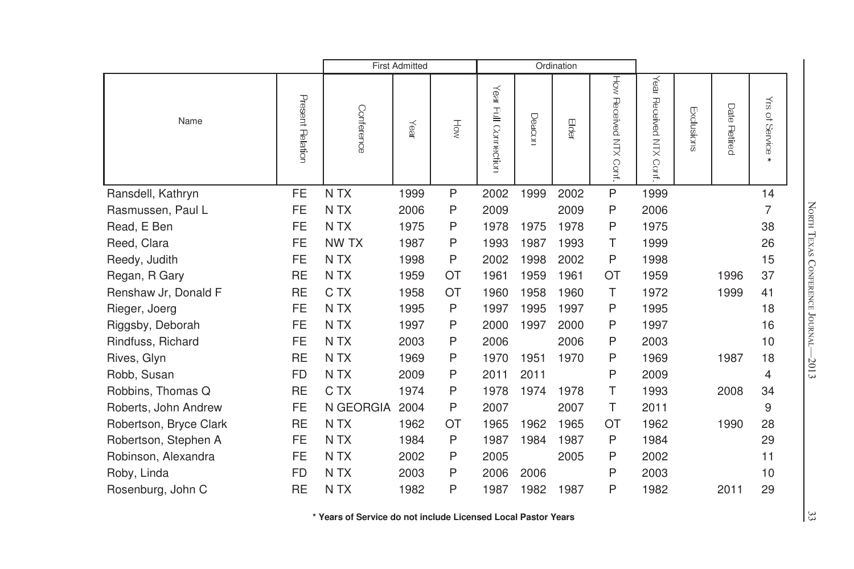|                        |                  | <b>First Admitted</b> |      |     |                                           |        | Ordination |                        |                                      |            |                 |                                                                        |
|------------------------|------------------|-----------------------|------|-----|-------------------------------------------|--------|------------|------------------------|--------------------------------------|------------|-----------------|------------------------------------------------------------------------|
| Name                   | Present Relation | Conference            | Year | How | $\overline{\text{ke}}$<br>Full Connection | Deacor | Elder      | How Received NTX Cont. | <b>Year</b><br>Received NTX<br>Confi | Exclusions | Date<br>Retired | $\stackrel{\textstyle <}{\scriptstyle \infty}$<br>of Service<br>$\ast$ |
| Ransdell, Kathryn      | <b>FE</b>        | N TX                  | 1999 | P   | 2002                                      | 1999   | 2002       | Ρ                      | 1999                                 |            |                 | 14                                                                     |
| Rasmussen, Paul L      | <b>FE</b>        | N TX                  | 2006 | P   | 2009                                      |        | 2009       | P                      | 2006                                 |            |                 | 7                                                                      |
| Read, E Ben            | <b>FE</b>        | N <sub>T</sub> X      | 1975 | P   | 1978                                      | 1975   | 1978       | P                      | 1975                                 |            |                 | 38                                                                     |
| Reed, Clara            | <b>FE</b>        | NW TX                 | 1987 | P   | 1993                                      | 1987   | 1993       | Τ                      | 1999                                 |            |                 | 26                                                                     |
| Reedy, Judith          | FE.              | N TX                  | 1998 | P   | 2002                                      | 1998   | 2002       | P                      | 1998                                 |            |                 | 15                                                                     |
| Regan, R Gary          | <b>RE</b>        | N TX                  | 1959 | OT  | 1961                                      | 1959   | 1961       | ОT                     | 1959                                 |            | 1996            | 37                                                                     |
| Renshaw Jr, Donald F   | <b>RE</b>        | C TX                  | 1958 | OT  | 1960                                      | 1958   | 1960       | Τ                      | 1972                                 |            | 1999            | 41                                                                     |
| Rieger, Joerg          | <b>FE</b>        | N TX                  | 1995 | P   | 1997                                      | 1995   | 1997       | P                      | 1995                                 |            |                 | 18                                                                     |
| Riggsby, Deborah       | <b>FE</b>        | N TX                  | 1997 | Ρ   | 2000                                      | 1997   | 2000       | P                      | 1997                                 |            |                 | 16                                                                     |
| Rindfuss, Richard      | FE.              | N TX                  | 2003 | P   | 2006                                      |        | 2006       | P                      | 2003                                 |            |                 | 10                                                                     |
| Rives, Glyn            | <b>RE</b>        | N TX                  | 1969 | P   | 1970                                      | 1951   | 1970       | P                      | 1969                                 |            | 1987            | 18                                                                     |
| Robb, Susan            | <b>FD</b>        | N TX                  | 2009 | P   | 2011                                      | 2011   |            | P                      | 2009                                 |            |                 | 4                                                                      |
| Robbins, Thomas Q      | <b>RE</b>        | C TX                  | 1974 | P   | 1978                                      | 1974   | 1978       | Τ                      | 1993                                 |            | 2008            | 34                                                                     |
| Roberts, John Andrew   | <b>FE</b>        | N GEORGIA             | 2004 | P   | 2007                                      |        | 2007       | Τ                      | 2011                                 |            |                 | 9                                                                      |
| Robertson, Bryce Clark | <b>RE</b>        | N TX                  | 1962 | OT  | 1965                                      | 1962   | 1965       | ОT                     | 1962                                 |            | 1990            | 28                                                                     |
| Robertson, Stephen A   | <b>FE</b>        | N TX                  | 1984 | P   | 1987                                      | 1984   | 1987       | P                      | 1984                                 |            |                 | 29                                                                     |
| Robinson, Alexandra    | FE               | N TX                  | 2002 | P   | 2005                                      |        | 2005       | P                      | 2002                                 |            |                 | 11                                                                     |
| Roby, Linda            | <b>FD</b>        | N TX                  | 2003 | P   | 2006                                      | 2006   |            | P                      | 2003                                 |            |                 | 10                                                                     |
| Rosenburg, John C      | <b>RE</b>        | N TX                  | 1982 | P   | 1987                                      | 1982   | 1987       | P                      | 1982                                 |            | 2011            | 29                                                                     |

NORTH TEXAS CONFERENCE JOURNAL—2013 NORTH TEXAS CONFERENCE JOURNAL—2013 33

ာ  $\frac{3}{2}$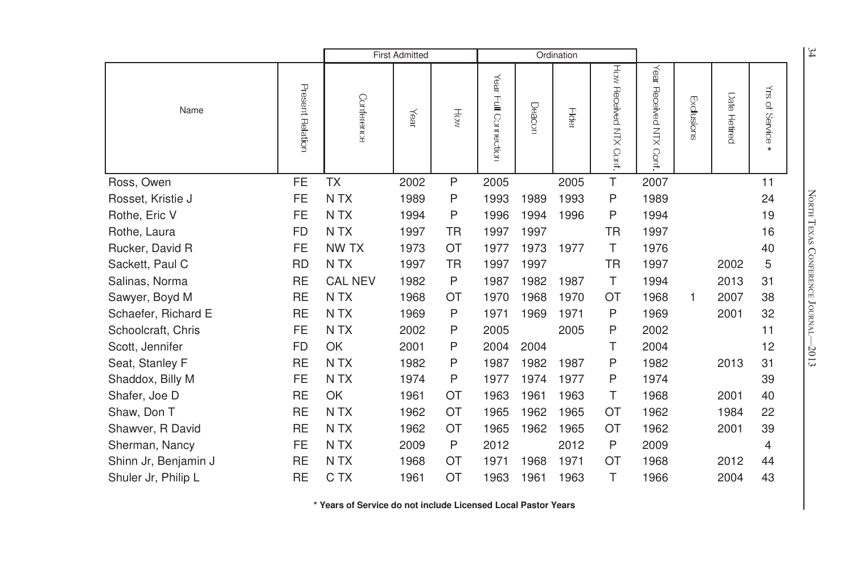|                      |                  | <b>First Admitted</b> |      |              |                                | Ordination |       |                        |                               |            |                 | 34              |                                 |
|----------------------|------------------|-----------------------|------|--------------|--------------------------------|------------|-------|------------------------|-------------------------------|------------|-----------------|-----------------|---------------------------------|
| Name                 | Present Relation | Conference            | Year | HÓW          | Year<br><b>Full Connection</b> | Deacon     | Elder | How Received NTX Cont. | Year<br>Received NTX<br>Conf. | Exclusions | Date<br>Retired | ₹<br>of Service |                                 |
| Ross, Owen           | <b>FE</b>        | <b>TX</b>             | 2002 | $\mathsf{P}$ | 2005                           |            | 2005  | T                      | 2007                          |            |                 | 11              |                                 |
| Rosset, Kristie J    | FE               | N TX                  | 1989 | P            | 1993                           | 1989       | 1993  | P                      | 1989                          |            |                 | 24              | NORTH TEXAS CONFERENCE JOURNAL- |
| Rothe, Eric V        | <b>FE</b>        | N TX                  | 1994 | Ρ            | 1996                           | 1994       | 1996  | P                      | 1994                          |            |                 | 19              |                                 |
| Rothe, Laura         | <b>FD</b>        | N TX                  | 1997 | TR           | 1997                           | 1997       |       | TR                     | 1997                          |            |                 | 16              |                                 |
| Rucker, David R      | <b>FE</b>        | NW TX                 | 1973 | OT           | 1977                           | 1973       | 1977  | Τ                      | 1976                          |            |                 | 40              |                                 |
| Sackett, Paul C      | <b>RD</b>        | N TX                  | 1997 | TR           | 1997                           | 1997       |       | <b>TR</b>              | 1997                          |            | 2002            | 5               |                                 |
| Salinas, Norma       | <b>RE</b>        | <b>CAL NEV</b>        | 1982 | P            | 1987                           | 1982       | 1987  | Τ                      | 1994                          |            | 2013            | 31              |                                 |
| Sawyer, Boyd M       | <b>RE</b>        | N <sub>T</sub> X      | 1968 | OT           | 1970                           | 1968       | 1970  | <b>OT</b>              | 1968                          | 1          | 2007            | 38              |                                 |
| Schaefer, Richard E  | <b>RE</b>        | N TX                  | 1969 | P            | 1971                           | 1969       | 1971  | P                      | 1969                          |            | 2001            | 32              |                                 |
| Schoolcraft, Chris   | <b>FE</b>        | N TX                  | 2002 | P            | 2005                           |            | 2005  | P                      | 2002                          |            |                 | 11              |                                 |
| Scott, Jennifer      | <b>FD</b>        | OK                    | 2001 | P            | 2004                           | 2004       |       | т                      | 2004                          |            |                 | 12              | $-2013$                         |
| Seat, Stanley F      | <b>RE</b>        | N TX                  | 1982 | P            | 1987                           | 1982       | 1987  | P                      | 1982                          |            | 2013            | 31              |                                 |
| Shaddox, Billy M     | <b>FE</b>        | N TX                  | 1974 | P            | 1977                           | 1974       | 1977  | P                      | 1974                          |            |                 | 39              |                                 |
| Shafer, Joe D        | <b>RE</b>        | OK                    | 1961 | OT           | 1963                           | 1961       | 1963  | Τ                      | 1968                          |            | 2001            | 40              |                                 |
| Shaw, Don T          | <b>RE</b>        | N TX                  | 1962 | <b>OT</b>    | 1965                           | 1962       | 1965  | <b>OT</b>              | 1962                          |            | 1984            | 22              |                                 |
| Shawver, R David     | <b>RE</b>        | N TX                  | 1962 | OT           | 1965                           | 1962       | 1965  | <b>OT</b>              | 1962                          |            | 2001            | 39              |                                 |
| Sherman, Nancy       | FE               | N TX                  | 2009 | P            | 2012                           |            | 2012  | P                      | 2009                          |            |                 | 4               |                                 |
| Shinn Jr, Benjamin J | <b>RE</b>        | N TX                  | 1968 | OT           | 1971                           | 1968       | 1971  | OT                     | 1968                          |            | 2012            | 44              |                                 |
| Shuler Jr, Philip L  | RE               | C TX                  | 1961 | OT           | 1963                           | 1961       | 1963  | Τ                      | 1966                          |            | 2004            | 43              |                                 |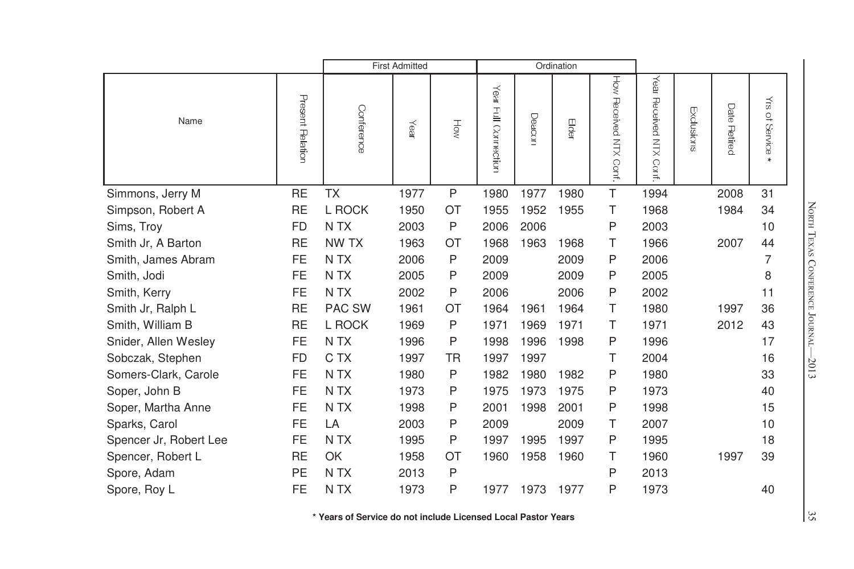|                        |                  |                  | <b>First Admitted</b> |           |                                            |        | Ordination |                        |                                      |            |                 |                                        |
|------------------------|------------------|------------------|-----------------------|-----------|--------------------------------------------|--------|------------|------------------------|--------------------------------------|------------|-----------------|----------------------------------------|
| Name                   | Present Relation | Conterence       | Year                  | Hów       | $\overline{\text{keV}}$<br>Full Connection | Deacon | Elde       | How Received NTX Conf. | <b>Year</b><br>Received NTX<br>Conf. | Exclusions | Date<br>Retired | $\frac{1}{50}$<br>of Service<br>$\ast$ |
| Simmons, Jerry M       | <b>RE</b>        | <b>TX</b>        | 1977                  | P         | 1980                                       | 1977   | 1980       | T                      | 1994                                 |            | 2008            | 31                                     |
| Simpson, Robert A      | <b>RE</b>        | L ROCK           | 1950                  | <b>OT</b> | 1955                                       | 1952   | 1955       | Τ                      | 1968                                 |            | 1984            | 34                                     |
| Sims, Troy             | <b>FD</b>        | N TX             | 2003                  | P         | 2006                                       | 2006   |            | P                      | 2003                                 |            |                 | 10                                     |
| Smith Jr, A Barton     | <b>RE</b>        | NW TX            | 1963                  | OT        | 1968                                       | 1963   | 1968       | Τ                      | 1966                                 |            | 2007            | 44                                     |
| Smith, James Abram     | <b>FE</b>        | N TX             | 2006                  | P         | 2009                                       |        | 2009       | P                      | 2006                                 |            |                 | 7                                      |
| Smith, Jodi            | <b>FE</b>        | N TX             | 2005                  | P         | 2009                                       |        | 2009       | P                      | 2005                                 |            |                 | 8                                      |
| Smith, Kerry           | <b>FE</b>        | N <sub>T</sub> X | 2002                  | P         | 2006                                       |        | 2006       | P                      | 2002                                 |            |                 | 11                                     |
| Smith Jr, Ralph L      | <b>RE</b>        | PAC SW           | 1961                  | OT        | 1964                                       | 1961   | 1964       | т                      | 1980                                 |            | 1997            | 36                                     |
| Smith, William B       | <b>RE</b>        | L ROCK           | 1969                  | P         | 1971                                       | 1969   | 1971       | Τ                      | 1971                                 |            | 2012            | 43                                     |
| Snider, Allen Wesley   | FE               | N TX             | 1996                  | P         | 1998                                       | 1996   | 1998       | P                      | 1996                                 |            |                 | 17                                     |
| Sobczak, Stephen       | <b>FD</b>        | C TX             | 1997                  | <b>TR</b> | 1997                                       | 1997   |            | Τ                      | 2004                                 |            |                 | 16                                     |
| Somers-Clark, Carole   | <b>FE</b>        | N <sub>T</sub> X | 1980                  | P         | 1982                                       | 1980   | 1982       | P                      | 1980                                 |            |                 | 33                                     |
| Soper, John B          | <b>FE</b>        | N <sub>T</sub> X | 1973                  | P         | 1975                                       | 1973   | 1975       | P                      | 1973                                 |            |                 | 40                                     |
| Soper, Martha Anne     | <b>FE</b>        | N TX             | 1998                  | P         | 2001                                       | 1998   | 2001       | P                      | 1998                                 |            |                 | 15                                     |
| Sparks, Carol          | <b>FE</b>        | LA               | 2003                  | Ρ         | 2009                                       |        | 2009       | Τ                      | 2007                                 |            |                 | 10                                     |
| Spencer Jr, Robert Lee | <b>FE</b>        | N <sub>T</sub> X | 1995                  | P         | 1997                                       | 1995   | 1997       | P                      | 1995                                 |            |                 | 18                                     |
| Spencer, Robert L      | <b>RE</b>        | OK               | 1958                  | OT        | 1960                                       | 1958   | 1960       | Τ                      | 1960                                 |            | 1997            | 39                                     |
| Spore, Adam            | PE               | N <sub>T</sub> X | 2013                  | P         |                                            |        |            | P                      | 2013                                 |            |                 |                                        |
| Spore, Roy L           | FE               | N TX             | 1973                  | P         | 1977                                       | 1973   | 1977       | P                      | 1973                                 |            |                 | 40                                     |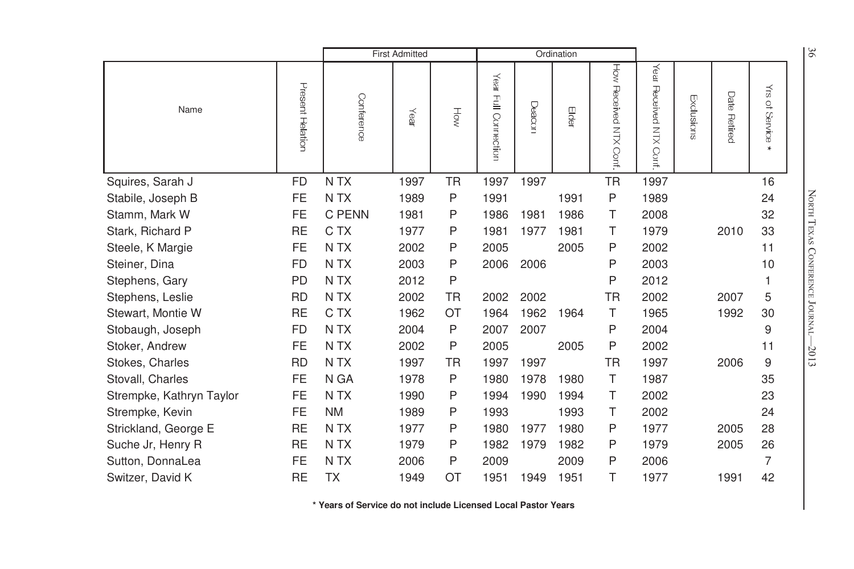|                          |                  | <b>First Admitted</b> |      |                         |                         |        | Ordination |                        |                               |            |                 |                                          |                                 |
|--------------------------|------------------|-----------------------|------|-------------------------|-------------------------|--------|------------|------------------------|-------------------------------|------------|-----------------|------------------------------------------|---------------------------------|
| Name                     | Present Relation | Conference            | Year | $\overline{\mathsf{Q}}$ | Year<br>Full Connection | Deacon | Eldel      | How Received NTX Conf. | Year<br>Received NTX<br>Conf. | Exclusions | Date<br>Retired | $\frac{1}{3}$<br>$\supsetneq$<br>Service |                                 |
| Squires, Sarah J         | <b>FD</b>        | N TX                  | 1997 | <b>TR</b>               | 1997                    | 1997   |            | <b>TR</b>              | 1997                          |            |                 | 16                                       |                                 |
| Stabile, Joseph B        | FE               | N TX                  | 1989 | P                       | 1991                    |        | 1991       | P                      | 1989                          |            |                 | 24                                       | NORIH TEXAS CONFERENCE JOURNAL- |
| Stamm, Mark W            | <b>FE</b>        | C PENN                | 1981 | P                       | 1986                    | 1981   | 1986       | Τ                      | 2008                          |            |                 | 32                                       |                                 |
| Stark, Richard P         | <b>RE</b>        | C TX                  | 1977 | P                       | 1981                    | 1977   | 1981       | т                      | 1979                          |            | 2010            | 33                                       |                                 |
| Steele, K Margie         | FE               | N <sub>T</sub> X      | 2002 | Ρ                       | 2005                    |        | 2005       | P                      | 2002                          |            |                 | 11                                       |                                 |
| Steiner, Dina            | <b>FD</b>        | N TX                  | 2003 | P                       | 2006                    | 2006   |            | P                      | 2003                          |            |                 | 10                                       |                                 |
| Stephens, Gary           | <b>PD</b>        | N TX                  | 2012 | P                       |                         |        |            | P                      | 2012                          |            |                 | 1                                        |                                 |
| Stephens, Leslie         | <b>RD</b>        | N TX                  | 2002 | <b>TR</b>               | 2002                    | 2002   |            | <b>TR</b>              | 2002                          |            | 2007            | 5                                        |                                 |
| Stewart, Montie W        | <b>RE</b>        | C TX                  | 1962 | ОT                      | 1964                    | 1962   | 1964       | Τ                      | 1965                          |            | 1992            | 30                                       |                                 |
| Stobaugh, Joseph         | <b>FD</b>        | N TX                  | 2004 | P                       | 2007                    | 2007   |            | P                      | 2004                          |            |                 | 9                                        |                                 |
| Stoker, Andrew           | <b>FE</b>        | N <sub>T</sub> X      | 2002 | P                       | 2005                    |        | 2005       | P                      | 2002                          |            |                 | 11                                       | $-2013$                         |
| Stokes, Charles          | <b>RD</b>        | N TX                  | 1997 | <b>TR</b>               | 1997                    | 1997   |            | <b>TR</b>              | 1997                          |            | 2006            | 9                                        |                                 |
| Stovall, Charles         | <b>FE</b>        | N GA                  | 1978 | P                       | 1980                    | 1978   | 1980       | Τ                      | 1987                          |            |                 | 35                                       |                                 |
| Strempke, Kathryn Taylor | <b>FE</b>        | N TX                  | 1990 | P                       | 1994                    | 1990   | 1994       | Τ                      | 2002                          |            |                 | 23                                       |                                 |
| Strempke, Kevin          | FE               | <b>NM</b>             | 1989 | Ρ                       | 1993                    |        | 1993       | Τ                      | 2002                          |            |                 | 24                                       |                                 |
| Strickland, George E     | <b>RE</b>        | N <sub>T</sub> X      | 1977 | P                       | 1980                    | 1977   | 1980       | P                      | 1977                          |            | 2005            | 28                                       |                                 |
| Suche Jr, Henry R        | <b>RE</b>        | N TX                  | 1979 | P                       | 1982                    | 1979   | 1982       | P                      | 1979                          |            | 2005            | 26                                       |                                 |
| Sutton, DonnaLea         | FE               | N TX                  | 2006 | P                       | 2009                    |        | 2009       | P                      | 2006                          |            |                 | 7                                        |                                 |
| Switzer, David K         | <b>RE</b>        | <b>TX</b>             | 1949 | OT                      | 1951                    | 1949   | 1951       | Т                      | 1977                          |            | 1991            | 42                                       |                                 |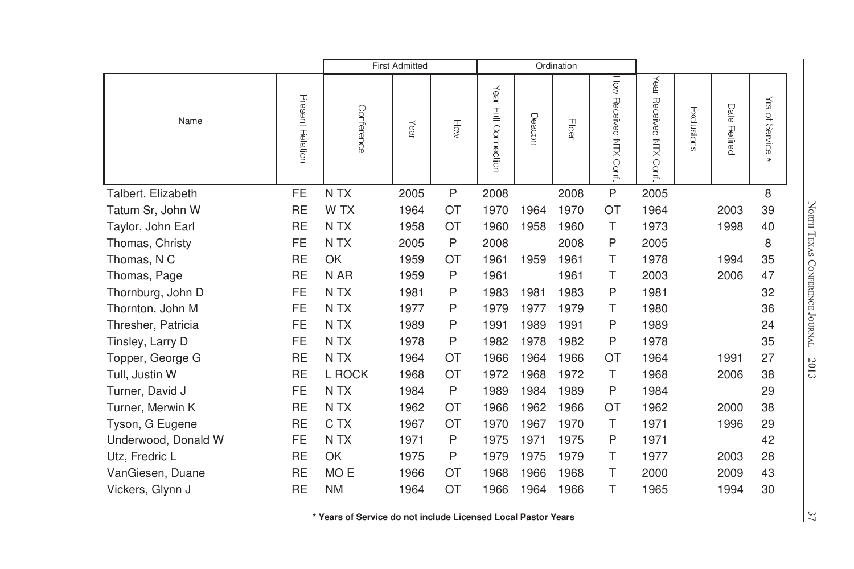|                     | <b>First Admitted</b> |                  |      |     |                                       | Ordination |       |                        |                               |            |                 |                                                            |
|---------------------|-----------------------|------------------|------|-----|---------------------------------------|------------|-------|------------------------|-------------------------------|------------|-----------------|------------------------------------------------------------|
| Name                | Present Relation      | Conference       | Year | HÓW | $\gamma_{\rm eff}$<br>Full Connection | Deacor     | Elder | How Received NTX Conf. | Year<br>Received NTX<br>Conf. | Exclusions | Date<br>Retired | $\stackrel{\textstyle <}{\approx}$<br>of Service<br>$\ast$ |
| Talbert, Elizabeth  | FE                    | N TX             | 2005 | P   | 2008                                  |            | 2008  | P                      | 2005                          |            |                 | 8                                                          |
| Tatum Sr, John W    | <b>RE</b>             | W TX             | 1964 | OT  | 1970                                  | 1964       | 1970  | OT                     | 1964                          |            | 2003            | 39                                                         |
| Taylor, John Earl   | <b>RE</b>             | N TX             | 1958 | OT  | 1960                                  | 1958       | 1960  | Τ                      | 1973                          |            | 1998            | 40                                                         |
| Thomas, Christy     | <b>FE</b>             | N TX             | 2005 | P   | 2008                                  |            | 2008  | P                      | 2005                          |            |                 | 8                                                          |
| Thomas, N C         | <b>RE</b>             | OK               | 1959 | OT  | 1961                                  | 1959       | 1961  | т                      | 1978                          |            | 1994            | 35                                                         |
| Thomas, Page        | <b>RE</b>             | N AR             | 1959 | P   | 1961                                  |            | 1961  | т                      | 2003                          |            | 2006            | 47                                                         |
| Thornburg, John D   | <b>FE</b>             | N TX             | 1981 | P   | 1983                                  | 1981       | 1983  | P                      | 1981                          |            |                 | 32                                                         |
| Thornton, John M    | <b>FE</b>             | N TX             | 1977 | P   | 1979                                  | 1977       | 1979  | Τ                      | 1980                          |            |                 | 36                                                         |
| Thresher, Patricia  | <b>FE</b>             | N TX             | 1989 | P   | 1991                                  | 1989       | 1991  | P                      | 1989                          |            |                 | 24                                                         |
| Tinsley, Larry D    | <b>FE</b>             | N TX             | 1978 | P   | 1982                                  | 1978       | 1982  | P                      | 1978                          |            |                 | 35                                                         |
| Topper, George G    | <b>RE</b>             | N TX             | 1964 | OT  | 1966                                  | 1964       | 1966  | ОT                     | 1964                          |            | 1991            | 27                                                         |
| Tull, Justin W      | <b>RE</b>             | L ROCK           | 1968 | OT  | 1972                                  | 1968       | 1972  | T                      | 1968                          |            | 2006            | 38                                                         |
| Turner, David J     | <b>FE</b>             | N TX             | 1984 | P   | 1989                                  | 1984       | 1989  | P                      | 1984                          |            |                 | 29                                                         |
| Turner, Merwin K    | <b>RE</b>             | N <sub>T</sub> X | 1962 | OT  | 1966                                  | 1962       | 1966  | OT                     | 1962                          |            | 2000            | 38                                                         |
| Tyson, G Eugene     | <b>RE</b>             | C TX             | 1967 | OT  | 1970                                  | 1967       | 1970  | Τ                      | 1971                          |            | 1996            | 29                                                         |
| Underwood, Donald W | <b>FE</b>             | N TX             | 1971 | P   | 1975                                  | 1971       | 1975  | P                      | 1971                          |            |                 | 42                                                         |
| Utz, Fredric L      | <b>RE</b>             | OK               | 1975 | P   | 1979                                  | 1975       | 1979  | Τ                      | 1977                          |            | 2003            | 28                                                         |
| VanGiesen, Duane    | <b>RE</b>             | MO <sub>E</sub>  | 1966 | OT  | 1968                                  | 1966       | 1968  | т                      | 2000                          |            | 2009            | 43                                                         |
| Vickers, Glynn J    | <b>RE</b>             | <b>NM</b>        | 1964 | OT  | 1966                                  | 1964       | 1966  | Τ                      | 1965                          |            | 1994            | 30                                                         |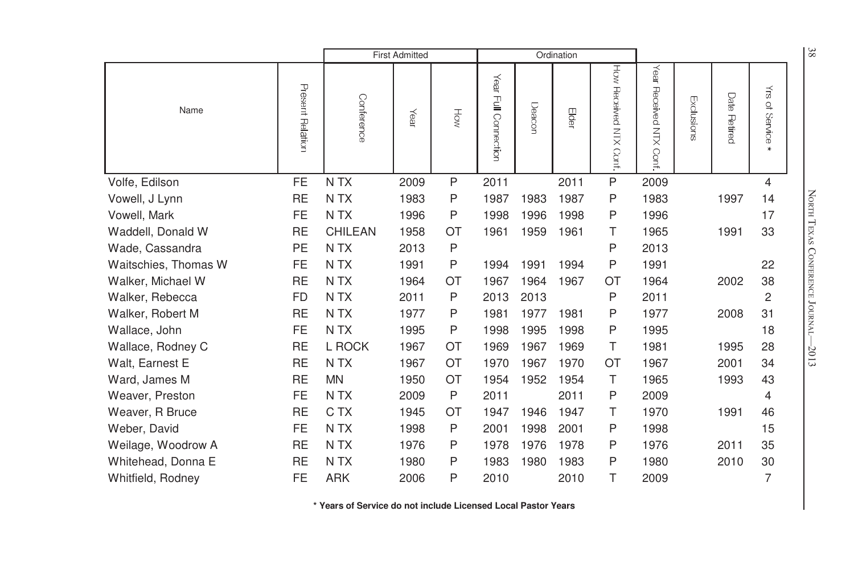|                      |                  | <b>First Admitted</b> |      |              |                         |        | Ordination |                           |                               |            |                 |                 | $\frac{8}{8}$                   |
|----------------------|------------------|-----------------------|------|--------------|-------------------------|--------|------------|---------------------------|-------------------------------|------------|-----------------|-----------------|---------------------------------|
| Name                 | Present Relation | Conference            | Year | HÓ           | Year<br>Full Connection | Deacor | Elder      | How Received NTX<br>Conf. | Year<br>Received NTX<br>Conf. | Exclusions | Date<br>Retired | ₹<br>of Service |                                 |
| Volfe, Edilson       | <b>FE</b>        | N TX                  | 2009 | $\mathsf{P}$ | 2011                    |        | 2011       | P                         | 2009                          |            |                 | 4               |                                 |
| Vowell, J Lynn       | <b>RE</b>        | N <sub>T</sub> X      | 1983 | Ρ            | 1987                    | 1983   | 1987       | P                         | 1983                          |            | 1997            | 14              | NORTH TEXAS CONFERENCE JOURNAL- |
| Vowell, Mark         | <b>FE</b>        | N <sub>T</sub> X      | 1996 | Ρ            | 1998                    | 1996   | 1998       | P                         | 1996                          |            |                 | 17              |                                 |
| Waddell, Donald W    | <b>RE</b>        | <b>CHILEAN</b>        | 1958 | OT           | 1961                    | 1959   | 1961       | т                         | 1965                          |            | 1991            | 33              |                                 |
| Wade, Cassandra      | PE               | N <sub>T</sub> X      | 2013 | P            |                         |        |            | P                         | 2013                          |            |                 |                 |                                 |
| Waitschies, Thomas W | <b>FE</b>        | N <sub>T</sub> X      | 1991 | P            | 1994                    | 1991   | 1994       | P                         | 1991                          |            |                 | 22              |                                 |
| Walker, Michael W    | <b>RE</b>        | N TX                  | 1964 | OT           | 1967                    | 1964   | 1967       | OT                        | 1964                          |            | 2002            | 38              |                                 |
| Walker, Rebecca      | <b>FD</b>        | N TX                  | 2011 | P            | 2013                    | 2013   |            | P                         | 2011                          |            |                 | 2               |                                 |
| Walker, Robert M     | <b>RE</b>        | N <sub>T</sub> X      | 1977 | Ρ            | 1981                    | 1977   | 1981       | P                         | 1977                          |            | 2008            | 31              |                                 |
| Wallace, John        | <b>FE</b>        | N TX                  | 1995 | Ρ            | 1998                    | 1995   | 1998       | P                         | 1995                          |            |                 | 18              |                                 |
| Wallace, Rodney C    | <b>RE</b>        | L ROCK                | 1967 | OT           | 1969                    | 1967   | 1969       | T                         | 1981                          |            | 1995            | 28              | $-2013$                         |
| Walt, Earnest E      | <b>RE</b>        | N <sub>T</sub> X      | 1967 | OT           | 1970                    | 1967   | 1970       | OT                        | 1967                          |            | 2001            | 34              |                                 |
| Ward, James M        | <b>RE</b>        | <b>MN</b>             | 1950 | OT           | 1954                    | 1952   | 1954       | T                         | 1965                          |            | 1993            | 43              |                                 |
| Weaver, Preston      | <b>FE</b>        | N TX                  | 2009 | P            | 2011                    |        | 2011       | P                         | 2009                          |            |                 | 4               |                                 |
| Weaver, R Bruce      | <b>RE</b>        | C TX                  | 1945 | OT           | 1947                    | 1946   | 1947       | Τ                         | 1970                          |            | 1991            | 46              |                                 |
| Weber, David         | <b>FE</b>        | N <sub>T</sub> X      | 1998 | Ρ            | 2001                    | 1998   | 2001       | P                         | 1998                          |            |                 | 15              |                                 |
| Weilage, Woodrow A   | <b>RE</b>        | N <sub>T</sub> X      | 1976 | Ρ            | 1978                    | 1976   | 1978       | P                         | 1976                          |            | 2011            | 35              |                                 |
| Whitehead, Donna E   | <b>RE</b>        | N <sub>T</sub> X      | 1980 | Ρ            | 1983                    | 1980   | 1983       | P                         | 1980                          |            | 2010            | 30              |                                 |
| Whitfield, Rodney    | FE               | <b>ARK</b>            | 2006 | Ρ            | 2010                    |        | 2010       | Τ                         | 2009                          |            |                 | 7               |                                 |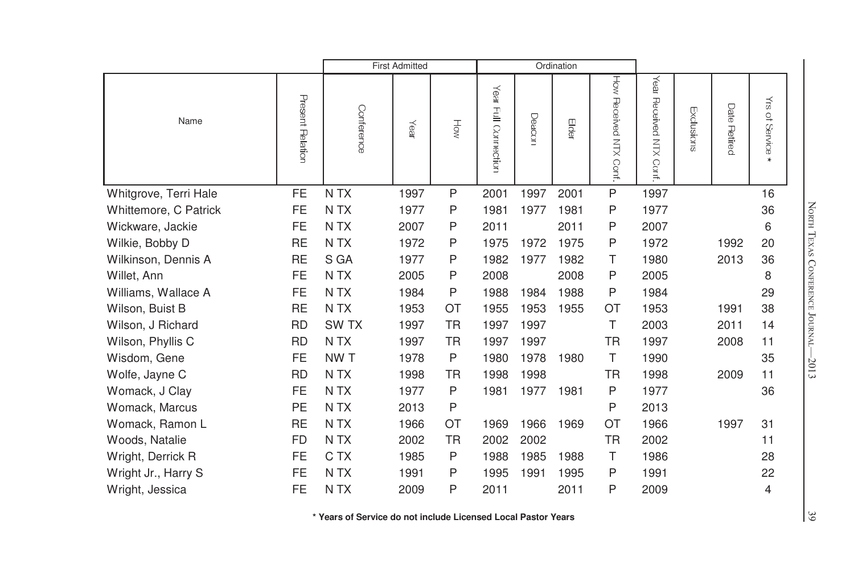|                       | <b>First Admitted</b> |                  |      | Ordination |                         |        |      |                        |                               |            |                 |                                      |
|-----------------------|-----------------------|------------------|------|------------|-------------------------|--------|------|------------------------|-------------------------------|------------|-----------------|--------------------------------------|
| Name                  | Present Relation      | Conference       | Year | HÓN        | Year<br>Full Connection | Deacon | Elde | How Received NTX Conf. | Year<br>Received NTX<br>Conf. | Exclusions | Date<br>Retired | $\gtrapprox$<br>of Service<br>$\ast$ |
| Whitgrove, Terri Hale | <b>FE</b>             | N TX             | 1997 | P          | 2001                    | 1997   | 2001 | P                      | 1997                          |            |                 | 16                                   |
| Whittemore, C Patrick | FE                    | N TX             | 1977 | P          | 1981                    | 1977   | 1981 | P                      | 1977                          |            |                 | 36                                   |
| Wickware, Jackie      | <b>FE</b>             | N TX             | 2007 | P          | 2011                    |        | 2011 | P                      | 2007                          |            |                 | 6                                    |
| Wilkie, Bobby D       | <b>RE</b>             | N TX             | 1972 | P          | 1975                    | 1972   | 1975 | P                      | 1972                          |            | 1992            | 20                                   |
| Wilkinson, Dennis A   | <b>RE</b>             | S GA             | 1977 | P          | 1982                    | 1977   | 1982 | Τ                      | 1980                          |            | 2013            | 36                                   |
| Willet, Ann           | <b>FE</b>             | N TX             | 2005 | P          | 2008                    |        | 2008 | P                      | 2005                          |            |                 | 8                                    |
| Williams, Wallace A   | <b>FE</b>             | N TX             | 1984 | P          | 1988                    | 1984   | 1988 | P                      | 1984                          |            |                 | 29                                   |
| Wilson, Buist B       | <b>RE</b>             | N TX             | 1953 | OT         | 1955                    | 1953   | 1955 | <b>OT</b>              | 1953                          |            | 1991            | 38                                   |
| Wilson, J Richard     | <b>RD</b>             | SW <sub>TX</sub> | 1997 | <b>TR</b>  | 1997                    | 1997   |      | т                      | 2003                          |            | 2011            | 14                                   |
| Wilson, Phyllis C     | <b>RD</b>             | N TX             | 1997 | <b>TR</b>  | 1997                    | 1997   |      | TR                     | 1997                          |            | 2008            | 11                                   |
| Wisdom, Gene          | <b>FE</b>             | NW T             | 1978 | P          | 1980                    | 1978   | 1980 | T                      | 1990                          |            |                 | 35                                   |
| Wolfe, Jayne C        | <b>RD</b>             | N TX             | 1998 | <b>TR</b>  | 1998                    | 1998   |      | TR                     | 1998                          |            | 2009            | 11                                   |
| Womack, J Clay        | <b>FE</b>             | N TX             | 1977 | P          | 1981                    | 1977   | 1981 | P                      | 1977                          |            |                 | 36                                   |
| Womack, Marcus        | PE                    | N TX             | 2013 | P          |                         |        |      | P                      | 2013                          |            |                 |                                      |
| Womack, Ramon L       | <b>RE</b>             | N TX             | 1966 | OT         | 1969                    | 1966   | 1969 | <b>OT</b>              | 1966                          |            | 1997            | 31                                   |
| Woods, Natalie        | <b>FD</b>             | N TX             | 2002 | <b>TR</b>  | 2002                    | 2002   |      | <b>TR</b>              | 2002                          |            |                 | 11                                   |
| Wright, Derrick R     | FE                    | C TX             | 1985 | P          | 1988                    | 1985   | 1988 | Τ                      | 1986                          |            |                 | 28                                   |
| Wright Jr., Harry S   | <b>FE</b>             | N TX             | 1991 | P          | 1995                    | 1991   | 1995 | P                      | 1991                          |            |                 | 22                                   |
| Wright, Jessica       | <b>FE</b>             | N TX             | 2009 | P          | 2011                    |        | 2011 | Ρ                      | 2009                          |            |                 | 4                                    |